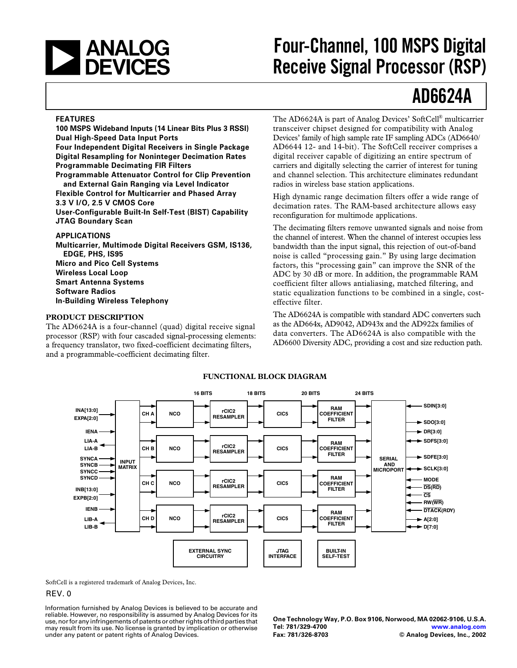<span id="page-0-0"></span>

# **Four-Channel, 100 MSPS Digital Receive Signal Processor (RSP)**

# **AD6624A**

### **FEATURES**

**100 MSPS Wideband Inputs (14 Linear Bits Plus 3 RSSI) Dual High-Speed Data Input Ports**

**Four Independent Digital Receivers in Single Package Digital Resampling for Noninteger Decimation Rates Programmable Decimating FIR Filters**

**Programmable Attenuator Control for Clip Prevention and External Gain Ranging via Level Indicator Flexible Control for Multicarrier and Phased Array**

#### **3.3 V I/O, 2.5 V CMOS Core**

**User-Configurable Built-In Self-Test (BIST) Capability JTAG Boundary Scan**

### **APPLICATIONS**

**Multicarrier, Multimode Digital Receivers GSM, IS136, EDGE, PHS, IS95 Micro and Pico Cell Systems Wireless Local Loop Smart Antenna Systems Software Radios In-Building Wireless Telephony**

#### **PRODUCT DESCRIPTION**

The AD6624A is a four-channel (quad) digital receive signal processor (RSP) with four cascaded signal-processing elements: a frequency translator, two fixed-coefficient decimating filters, and a programmable-coefficient decimating filter.

The AD6624A is part of Analog Devices' SoftCell® multicarrier transceiver chipset designed for compatibility with Analog Devices' family of high sample rate IF sampling ADCs (AD6640/ AD6644 12- and 14-bit). The SoftCell receiver comprises a digital receiver capable of digitizing an entire spectrum of carriers and digitally selecting the carrier of interest for tuning and channel selection. This architecture eliminates redundant radios in wireless base station applications.

High dynamic range decimation filters offer a wide range of decimation rates. The RAM-based architecture allows easy reconfiguration for multimode applications.

The decimating filters remove unwanted signals and noise from the channel of interest. When the channel of interest occupies less bandwidth than the input signal, this rejection of out-of-band noise is called "processing gain." By using large decimation factors, this "processing gain" can improve the SNR of the ADC by 30 dB or more. In addition, the programmable RAM coefficient filter allows antialiasing, matched filtering, and static equalization functions to be combined in a single, costeffective filter.

The AD6624A is compatible with standard ADC converters such as the AD664x, AD9042, AD943x and the AD922x families of data converters. The AD6624A is also compatible with the AD6600 Diversity ADC, providing a cost and size reduction path.



# **FUNCTIONAL BLOCK DIAGRAM**

SoftCell is a registered trademark of Analog Devices, Inc.

# REV. 0

Information furnished by Analog Devices is believed to be accurate and reliable. However, no responsibility is assumed by Analog Devices for its use, nor for any infringements of patents or other rights of third parties that may result from its use. No license is granted by implication or otherwise under any patent or patent rights of Analog Devices.

**One Technology Way, P.O. Box 9106, Norwood, MA 02062-9106, U.S.A. Tel: 781/329-4700 [www.analog.com](http://www.analog.com) Fax: 781/326-8703 © Analog Devices, Inc., 2002**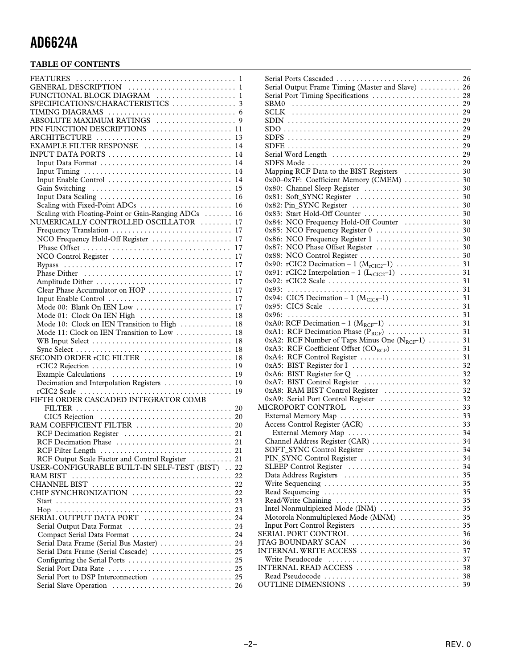# **TABLE OF CONTENTS**

| FUNCTIONAL BLOCK DIAGRAM  1                          |  |
|------------------------------------------------------|--|
| SPECIFICATIONS/CHARACTERISTICS  3                    |  |
|                                                      |  |
|                                                      |  |
| PIN FUNCTION DESCRIPTIONS  11                        |  |
|                                                      |  |
| EXAMPLE FILTER RESPONSE  14                          |  |
|                                                      |  |
|                                                      |  |
|                                                      |  |
|                                                      |  |
|                                                      |  |
|                                                      |  |
| Scaling with Fixed-Point ADCs  16                    |  |
| Scaling with Floating-Point or Gain-Ranging ADCs  16 |  |
| NUMERICALLY CONTROLLED OSCILLATOR  17                |  |
|                                                      |  |
| NCO Frequency Hold-Off Register  17                  |  |
|                                                      |  |
|                                                      |  |
|                                                      |  |
|                                                      |  |
|                                                      |  |
| Clear Phase Accumulator on HOP  17                   |  |
|                                                      |  |
| Mode 00: Blank On IEN Low  17                        |  |
|                                                      |  |
| Mode 01: Clock On IEN High  18                       |  |
| Mode 10: Clock on IEN Transition to High  18         |  |
| Mode 11: Clock on IEN Transition to Low  18          |  |
|                                                      |  |
|                                                      |  |
| SECOND ORDER rCIC FILTER  18                         |  |
|                                                      |  |
|                                                      |  |
| Decimation and Interpolation Registers  19           |  |
| FIFTH ORDER CASCADED INTEGRATOR COMB                 |  |
|                                                      |  |
|                                                      |  |
|                                                      |  |
|                                                      |  |
|                                                      |  |
|                                                      |  |
|                                                      |  |
| RCF Output Scale Factor and Control Register  21     |  |
| USER-CONFIGURABLE BUILT-IN SELF-TEST (BIST)  22      |  |
| <b>RAM BIST</b>                                      |  |
|                                                      |  |
| CHIP SYNCHRONIZATION  22                             |  |
|                                                      |  |
|                                                      |  |
|                                                      |  |
| Serial Output Data Format  24                        |  |
| Compact Serial Data Format  24                       |  |
| Serial Data Frame (Serial Bus Master)  24            |  |
| Serial Data Frame (Serial Cascade)  25               |  |
|                                                      |  |
|                                                      |  |
| Serial Port to DSP Interconnection  25               |  |
|                                                      |  |

| Serial Output Frame Timing (Master and Slave)  26                                                                                                                    |    |
|----------------------------------------------------------------------------------------------------------------------------------------------------------------------|----|
| Serial Port Timing Specifications  28                                                                                                                                |    |
|                                                                                                                                                                      |    |
|                                                                                                                                                                      |    |
|                                                                                                                                                                      |    |
|                                                                                                                                                                      |    |
|                                                                                                                                                                      |    |
|                                                                                                                                                                      |    |
|                                                                                                                                                                      |    |
|                                                                                                                                                                      |    |
| Mapping RCF Data to the BIST Registers  30                                                                                                                           |    |
| 0x00-0x7F: Coefficient Memory (CMEM)  30                                                                                                                             |    |
|                                                                                                                                                                      |    |
|                                                                                                                                                                      |    |
|                                                                                                                                                                      |    |
|                                                                                                                                                                      |    |
|                                                                                                                                                                      |    |
| 0x84: NCO Frequency Hold-Off Counter  30                                                                                                                             |    |
|                                                                                                                                                                      |    |
|                                                                                                                                                                      |    |
|                                                                                                                                                                      |    |
|                                                                                                                                                                      |    |
|                                                                                                                                                                      |    |
|                                                                                                                                                                      |    |
|                                                                                                                                                                      |    |
|                                                                                                                                                                      |    |
|                                                                                                                                                                      |    |
|                                                                                                                                                                      |    |
|                                                                                                                                                                      |    |
|                                                                                                                                                                      |    |
|                                                                                                                                                                      |    |
|                                                                                                                                                                      |    |
|                                                                                                                                                                      |    |
| 0xA2: RCF Number of Taps Minus One (N <sub>RCF</sub> -1)  31                                                                                                         |    |
|                                                                                                                                                                      |    |
|                                                                                                                                                                      |    |
|                                                                                                                                                                      |    |
|                                                                                                                                                                      |    |
|                                                                                                                                                                      |    |
| 0xA8: RAM BIST Control Register  32                                                                                                                                  |    |
| 0xA9: Serial Port Control Register  32                                                                                                                               |    |
|                                                                                                                                                                      |    |
|                                                                                                                                                                      |    |
|                                                                                                                                                                      |    |
|                                                                                                                                                                      |    |
|                                                                                                                                                                      |    |
| SOFT_SYNC Control Register  34                                                                                                                                       |    |
| PIN_SYNC Control Register                                                                                                                                            | 34 |
| SLEEP Control Register                                                                                                                                               | 34 |
| Data Address Registers                                                                                                                                               | 35 |
| Write Sequencing                                                                                                                                                     | 35 |
| Read Sequencing                                                                                                                                                      | 35 |
| Read/Write Chaining                                                                                                                                                  | 35 |
| Intel Nonmultiplexed Mode (INM)                                                                                                                                      | 35 |
| Motorola Nonmultiplexed Mode (MNM)                                                                                                                                   | 35 |
|                                                                                                                                                                      | 35 |
| Input Port Control Registers                                                                                                                                         | 36 |
|                                                                                                                                                                      | 36 |
|                                                                                                                                                                      | 37 |
| Write Pseudocode                                                                                                                                                     | 37 |
|                                                                                                                                                                      |    |
|                                                                                                                                                                      |    |
| $JTAG$ BOUNDARY SCAN $\ldots \ldots \ldots \ldots \ldots \ldots \ldots$<br>$\text{INTERNAL}\ \text{WRITE}\ \text{ACCESS}\ \dots\dots\dots\dots\dots\dots\dots \dots$ |    |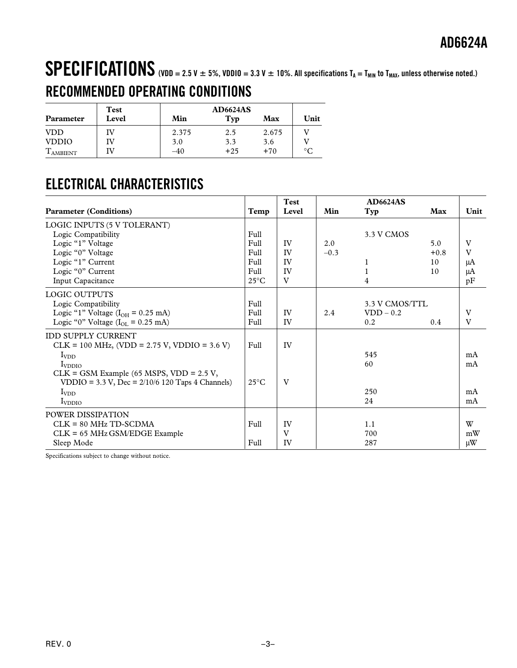# <span id="page-2-0"></span>SPECIFICATIONS (VDD = 2.5 V  $\pm$  5%, VDDIO = 3.3 V  $\pm$  10%. All specifications T<sub>A</sub> = T<sub>MIN</sub> to T<sub>MAX</sub>, unless otherwise noted.) **RECOMMENDED OPERATING CONDITIONS**

|                  | <b>Test</b> |       | <b>AD6624AS</b> |       |                 |
|------------------|-------------|-------|-----------------|-------|-----------------|
| Parameter        | Level       | Min   | Typ             | Max   | Unit            |
| <b>VDD</b>       |             | 2.375 | 2.5             | 2.675 |                 |
| <b>VDDIO</b>     | ſV          | 3.0   | 3.3             | 3.6   |                 |
| <b>L</b> AMBIENT |             | -40   | $+25$           | $+70$ | $\rm ^{\circ}C$ |

# **ELECTRICAL CHARACTERISTICS**

| <b>Parameter (Conditions)</b>                      | Temp           | <b>Test</b><br>Level | Min    | <b>AD6624AS</b><br>Typ | Max    | Unit         |
|----------------------------------------------------|----------------|----------------------|--------|------------------------|--------|--------------|
| LOGIC INPUTS (5 V TOLERANT)                        |                |                      |        |                        |        |              |
| Logic Compatibility                                | Full           |                      |        | 3.3 V CMOS             |        |              |
| Logic "1" Voltage                                  | Full           | IV                   | 2.0    |                        | 5.0    | V            |
| Logic "0" Voltage                                  | Full           | IV                   | $-0.3$ |                        | $+0.8$ | $\mathbf{V}$ |
| Logic "1" Current                                  | Full           | IV                   |        | 1                      | 10     | μA           |
| Logic "0" Current                                  | Full           | IV                   |        |                        | 10     | μA           |
| Input Capacitance                                  | $25^{\circ}$ C | V                    |        | 4                      |        | pF           |
| <b>LOGIC OUTPUTS</b>                               |                |                      |        |                        |        |              |
| Logic Compatibility                                | Full           |                      |        | 3.3 V CMOS/TTL         |        |              |
| Logic "1" Voltage ( $I_{OH} = 0.25$ mA)            | Full           | IV                   | 2.4    | $VDD - 0.2$            |        | V            |
| Logic "0" Voltage $(IOL = 0.25$ mA)                | Full           | IV                   |        | 0.2                    | 0.4    | V            |
| <b>IDD SUPPLY CURRENT</b>                          |                |                      |        |                        |        |              |
| $CLK = 100 MHz$ , (VDD = 2.75 V, VDDIO = 3.6 V)    | Full           | IV                   |        |                        |        |              |
| $I_{VDD}$                                          |                |                      |        | 545                    |        | mA           |
| $I_{VDDIO}$                                        |                |                      |        | 60                     |        | mA           |
| $CLK = GSM Example (65 MSPS, VDD = 2.5 V,$         |                |                      |        |                        |        |              |
| VDDIO = 3.3 V, Dec = $2/10/6$ 120 Taps 4 Channels) | $25^{\circ}$ C | V                    |        |                        |        |              |
| $I_{VDD}$                                          |                |                      |        | 250                    |        | mA           |
| $I_{VDDIO}$                                        |                |                      |        | 24                     |        | mA           |
| POWER DISSIPATION                                  |                |                      |        |                        |        |              |
| $CLK = 80 MHz TD-SCDMA$                            | Full           | IV                   |        | 1.1                    |        | W            |
| $CLK = 65 MHz$ GSM/EDGE Example                    |                | $\mathbf{V}$         |        | 700                    |        | mW           |
| Sleep Mode                                         | Full           | IV                   |        | 287                    |        | $\mu W$      |

Specifications subject to change without notice.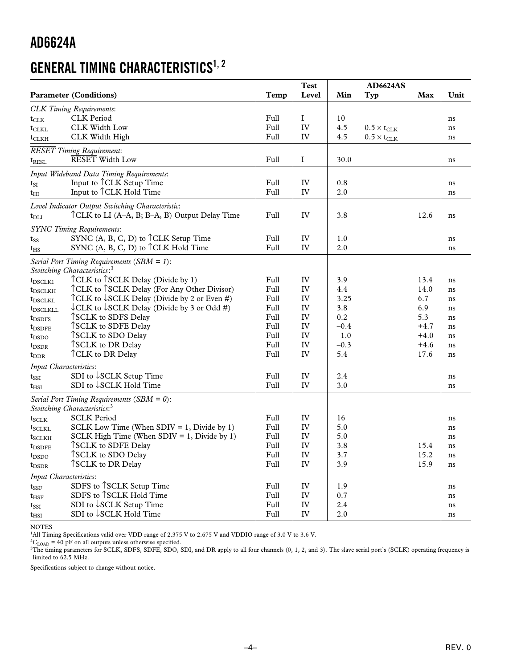# **GENERAL TIMING CHARACTERISTICS1, 2**

|                                                                                                                                                                                                                                                                                                                                                                                                                                                                                                                                                                                                                 | <b>Parameter (Conditions)</b>                                                                                                                                                                                                                                                                                                                                                                                                                                                            | Temp                                                                                 | <b>Test</b><br>Level                                             | Min                                                                                 | AD6624AS<br>Typ                                            | Max                                                                     | Unit                                                           |
|-----------------------------------------------------------------------------------------------------------------------------------------------------------------------------------------------------------------------------------------------------------------------------------------------------------------------------------------------------------------------------------------------------------------------------------------------------------------------------------------------------------------------------------------------------------------------------------------------------------------|------------------------------------------------------------------------------------------------------------------------------------------------------------------------------------------------------------------------------------------------------------------------------------------------------------------------------------------------------------------------------------------------------------------------------------------------------------------------------------------|--------------------------------------------------------------------------------------|------------------------------------------------------------------|-------------------------------------------------------------------------------------|------------------------------------------------------------|-------------------------------------------------------------------------|----------------------------------------------------------------|
| $t_{CLK}$<br>$t_{CLKL}$<br>$t_{CLKH}$                                                                                                                                                                                                                                                                                                                                                                                                                                                                                                                                                                           | <b>CLK</b> Timing Requirements:<br><b>CLK</b> Period<br>CLK Width Low<br>CLK Width High                                                                                                                                                                                                                                                                                                                                                                                                  | Full<br>Full<br>Full                                                                 | $\bf I$<br>IV<br>IV                                              | 10<br>4.5<br>4.5                                                                    | $0.5 \times t_{\text{CLK}}$<br>$0.5 \times t_{\text{CLK}}$ |                                                                         | ns<br>ns<br>ns                                                 |
| $t_{\rm RESL}$                                                                                                                                                                                                                                                                                                                                                                                                                                                                                                                                                                                                  | <b>RESET</b> Timing Requirement:<br><b>RESET</b> Width Low                                                                                                                                                                                                                                                                                                                                                                                                                               | Full                                                                                 | $\bf I$                                                          | 30.0                                                                                |                                                            |                                                                         | ns                                                             |
| $t_{SI}$<br>t <sub>HI</sub>                                                                                                                                                                                                                                                                                                                                                                                                                                                                                                                                                                                     | Input Wideband Data Timing Requirements:<br>Input to <sup>^</sup> CLK Setup Time<br>Input to <sup><math>\uparrow</math></sup> CLK Hold Time                                                                                                                                                                                                                                                                                                                                              | Full<br>Full                                                                         | IV<br>IV                                                         | 0.8<br>2.0                                                                          |                                                            |                                                                         | ns<br>ns                                                       |
| $t_{\rm DLI}$                                                                                                                                                                                                                                                                                                                                                                                                                                                                                                                                                                                                   | Level Indicator Output Switching Characteristic:<br>TCLK to LI (A–A, B; B–A, B) Output Delay Time                                                                                                                                                                                                                                                                                                                                                                                        | Full                                                                                 | IV                                                               | 3.8                                                                                 |                                                            | 12.6                                                                    | ns                                                             |
| $t_{SS}$<br>$t_{\rm HS}$                                                                                                                                                                                                                                                                                                                                                                                                                                                                                                                                                                                        | <b>SYNC Timing Requirements:</b><br>SYNC (A, B, C, D) to <sup>^</sup> CLK Setup Time<br>SYNC (A, B, C, D) to $\uparrow$ CLK Hold Time                                                                                                                                                                                                                                                                                                                                                    | Full<br>Full                                                                         | IV<br>IV                                                         | 1.0<br>2.0                                                                          |                                                            |                                                                         | ns<br>ns                                                       |
| $t_{\text{DSCLK1}}$<br>t <sub>DSCLKH</sub><br>$t_{\rm{DSCLKL}}$<br>t <sub>DSCLKLL</sub><br>$t_{\text{DSDFS}}$<br>$t_{\text{DSDFE}}$<br>$t_{\text{DSDO}}$<br>$t_{\rm DSDR}$<br>$t_{\rm DDR}$<br>Input Characteristics:<br>$t_{\rm SSI}$<br>$t_{\rm HSI}$                                                                                                                                                                                                                                                                                                                                                         | Serial Port Timing Requirements (SBM = 1):<br>Switching Characteristics: <sup>3</sup><br>TCLK to TSCLK Delay (Divide by 1)<br>TCLK to TSCLK Delay (For Any Other Divisor)<br>TCLK to $\downarrow$ SCLK Delay (Divide by 2 or Even #)<br>$\downarrow$ CLK to $\downarrow$ SCLK Delay (Divide by 3 or Odd #)<br>TSCLK to SDFS Delay<br>TSCLK to SDFE Delay<br>TSCLK to SDO Delay<br>TSCLK to DR Delay<br>TCLK to DR Delay<br>SDI to $\downarrow$ SCLK Setup Time<br>SDI to ↓SCLK Hold Time | Full<br>Full<br>Full<br>Full<br>Full<br>Full<br>Full<br>Full<br>Full<br>Full<br>Full | IV<br>IV<br>IV<br>IV<br>IV<br>IV<br>IV<br>IV<br>IV<br>IV<br>IV   | 3.9<br>4.4<br>3.25<br>3.8<br>0.2<br>$-0.4$<br>$-1.0$<br>$-0.3$<br>5.4<br>2.4<br>3.0 |                                                            | 13.4<br>14.0<br>6.7<br>6.9<br>5.3<br>$+4.7$<br>$+4.0$<br>$+4.6$<br>17.6 | ns<br>ns<br>ns<br>ns<br>ns<br>ns<br>ns<br>ns<br>ns<br>ns<br>ns |
| Serial Port Timing Requirements (SBM = $0$ ):<br>Switching Characteristics: <sup>3</sup><br><b>SCLK Period</b><br>$t_{SCLK}$<br>SCLK Low Time (When SDIV = 1, Divide by 1)<br>$t_{SCLKL}$<br>SCLK High Time (When SDIV = 1, Divide by 1)<br>$t_{SCLKH}$<br>TSCLK to SDFE Delay<br>t <sub>DSDFE</sub><br><b>TSCLK</b> to SDO Delay<br>$t_{\text{DSDO}}$<br>TSCLK to DR Delay<br>$t_{\rm{DSDR}}$<br>Input Characteristics:<br>SDFS to TSCLK Setup Time<br>$t_{\rm SSF}$<br>SDFS to TSCLK Hold Time<br>$t_{\rm HSF}$<br>SDI to <b>SCLK</b> Setup Time<br>$t_{\rm{SSI}}$<br>SDI to ↓SCLK Hold Time<br>$t_{\rm HSI}$ |                                                                                                                                                                                                                                                                                                                                                                                                                                                                                          |                                                                                      | IV<br>IV<br>IV<br>IV<br>IV<br>IV<br>IV<br>IV<br>${\rm IV}$<br>IV | 16<br>5.0<br>5.0<br>3.8<br>3.7<br>3.9<br>1.9<br>0.7<br>2.4<br>2.0                   |                                                            | 15.4<br>15.2<br>15.9                                                    | ns<br>ns<br>ns<br>ns<br>ns<br>ns<br>ns<br>ns<br>ns<br>ns       |

NOTES

<sup>1</sup>All Timing Specifications valid over VDD range of 2.375 V to 2.675 V and VDDIO range of 3.0 V to 3.6 V.<br><sup>2</sup>C<sub>LOAD</sub> = 40 pF on all outputs unless otherwise specified.

<sup>3</sup>The timing parameters for SCLK, SDFS, SDFE, SDO, SDI, and DR apply to all four channels (0, 1, 2, and 3). The slave serial port's (SCLK) operating frequency is limited to 62.5 MHz.

Specifications subject to change without notice.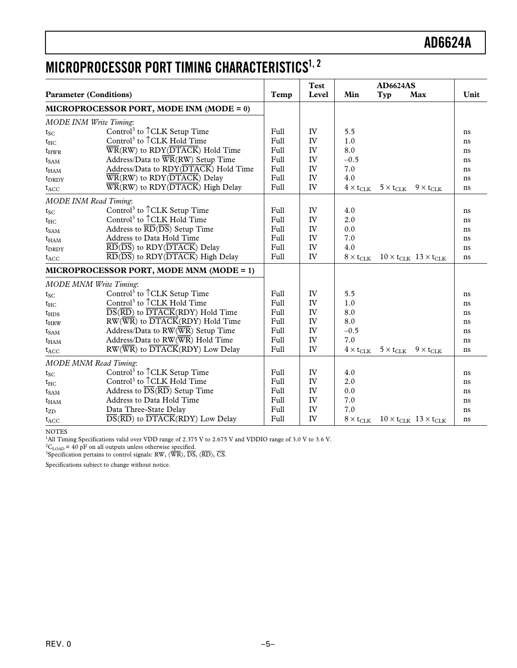# **MICROPROCESSOR PORT TIMING CHARACTERISTICS1, 2**

|                               |                                                                                             |      | <b>Test</b> |                           | <b>AD6624AS</b>    |                                                  |      |
|-------------------------------|---------------------------------------------------------------------------------------------|------|-------------|---------------------------|--------------------|--------------------------------------------------|------|
| <b>Parameter (Conditions)</b> |                                                                                             | Temp | Level       | Min                       | Typ                | Max                                              | Unit |
|                               | MICROPROCESSOR PORT, MODE INM (MODE = $0$ )                                                 |      |             |                           |                    |                                                  |      |
| MODE INM Write Timing:        |                                                                                             |      |             |                           |                    |                                                  |      |
| $t_{SC}$                      | Control <sup>3</sup> to $\hat{C}$ CLK Setup Time                                            | Full | IV          | 5.5                       |                    |                                                  | ns   |
| $t_{HC}$                      | Control <sup>3</sup> to <sup><math>\uparrow</math></sup> CLK Hold Time                      | Full | IV          | 1.0                       |                    |                                                  | ns   |
| $t_{HWR}$                     | $\overline{\text{WR}}$ (RW) to RDY( $\overline{\text{DTACK}}$ ) Hold Time                   | Full | IV          | 8.0                       |                    |                                                  | ns   |
| $t_{SAM}$                     | Address/Data to WR(RW) Setup Time                                                           | Full | IV          | $-0.5$                    |                    |                                                  | ns   |
| $t_{HAM}$                     | Address/Data to RDY(DTACK) Hold Time                                                        | Full | IV          | 7.0                       |                    |                                                  | ns   |
| t <sub>DRDY</sub>             | $\overline{\text{WR}}$ (RW) to RDY( $\overline{\text{DTACK}}$ ) Delay                       | Full | IV          | 4.0                       |                    |                                                  | ns   |
| $t_{ACC}$                     | $\overline{\text{WR}}$ (RW) to RDY( $\overline{\text{DTACK}}$ ) High Delay                  | Full | IV          | $4\times t_{\text{CLK}}$  | $5 \times t_{CLK}$ | $9 \times t_{CLK}$                               | ns   |
| <b>MODE INM Read Timing:</b>  |                                                                                             |      |             |                           |                    |                                                  |      |
| $t_{SC}$                      | Control <sup>3</sup> to <sup>1</sup> CLK Setup Time                                         | Full | IV          | 4.0                       |                    |                                                  | ns   |
| $t_{HC}$                      | Control <sup>3</sup> to $\hat{C}$ CLK Hold Time                                             | Full | IV          | 2.0                       |                    |                                                  | ns   |
| $t_{SAM}$                     | Address to $\overline{RD}(\overline{DS})$ Setup Time                                        | Full | IV          | 0.0                       |                    |                                                  | ns   |
| $t_{HAM}$                     | Address to Data Hold Time                                                                   | Full | IV          | 7.0                       |                    |                                                  | ns   |
| t <sub>DRDY</sub>             | $\overline{\text{RD}}(\overline{\text{DS}})$ to $\text{RDY}(\overline{\text{DTACK}})$ Delay | Full | IV          | 4.0                       |                    |                                                  | ns   |
| $t_{ACC}$                     | $\overline{\text{RD}}(\overline{\text{DS}})$ to RDY( $\overline{\text{DTACK}}$ ) High Delay | Full | IV          | $8\times t_{\text{CLK}}$  |                    | $10 \times t_{CLK}$ 13 $\times t_{CLK}$          | ns   |
|                               | MICROPROCESSOR PORT, MODE MNM (MODE = 1)                                                    |      |             |                           |                    |                                                  |      |
| <b>MODE MNM Write Timing:</b> |                                                                                             |      |             |                           |                    |                                                  |      |
| $t_{SC}$                      | Control <sup>3</sup> to <sup>1</sup> CLK Setup Time                                         | Full | IV          | 5.5                       |                    |                                                  | ns   |
| $t_{HC}$                      | Control <sup>3</sup> to $\uparrow$ CLK Hold Time                                            | Full | IV          | 1.0                       |                    |                                                  | ns   |
| $t_{\rm HDS}$                 | $\overline{DS}(\overline{RD})$ to $\overline{DTACK}(RDY)$ Hold Time                         | Full | IV          | 8.0                       |                    |                                                  | ns   |
| $t_{HRW}$                     | $RW(\overline{WR})$ to $\overline{DTACK}(RDY)$ Hold Time                                    | Full | IV          | 8.0                       |                    |                                                  | ns   |
| $t_{SAM}$                     | Address/Data to $RW(\overline{WR})$ Setup Time                                              | Full | IV          | $-0.5$                    |                    |                                                  | ns   |
| $t_{HAM}$                     | Address/Data to $RW(\overline{WR})$ Hold Time                                               | Full | IV          | 7.0                       |                    |                                                  | ns   |
| $t_{ACC}$                     | $RW(\overline{WR})$ to $\overline{DTACK}(RDY)$ Low Delay                                    | Full | IV          | $4 \times t_{CLK}$        | $5 \times t_{CLK}$ | $9 \times t_{CLK}$                               | ns   |
| <b>MODE MNM Read Timing:</b>  |                                                                                             |      |             |                           |                    |                                                  |      |
| $t_{SC}$                      | Control <sup>3</sup> to <sup>1</sup> CLK Setup Time                                         | Full | IV          | 4.0                       |                    |                                                  | ns   |
| $t_{HC}$                      | Control <sup>3</sup> to $\uparrow$ CLK Hold Time                                            | Full | IV          | 2.0                       |                    |                                                  | ns   |
| $t_{SAM}$                     | Address to $\overline{DS}(\overline{RD})$ Setup Time                                        | Full | IV          | 0.0                       |                    |                                                  | ns   |
| $t_{HAM}$                     | Address to Data Hold Time                                                                   | Full | IV          | 7.0                       |                    |                                                  | ns   |
| $t_{ZD}$                      | Data Three-State Delay                                                                      | Full | IV          | 7.0                       |                    |                                                  | ns   |
| $t_{ACC}$                     | $\overline{DS(RD)}$ to $\overline{DTACK}(RDY)$ Low Delay                                    | Full | IV          | $8 \times t_{\text{CLK}}$ |                    | $10 \times t_{CLK}$ 13 $\times$ t <sub>CLK</sub> | ns   |

NOTES

<sup>1</sup>All Timing Specifications valid over VDD range of 2.375 V to 2.675 V and VDDIO range of 3.0 V to 3.6 V.<br><sup>2</sup>C<sub>LOAD</sub> = 40 pF on all outputs unless otherwise specified.<br><sup>3</sup>Specification pertains to control signals: RW, (W

Specifications subject to change without notice.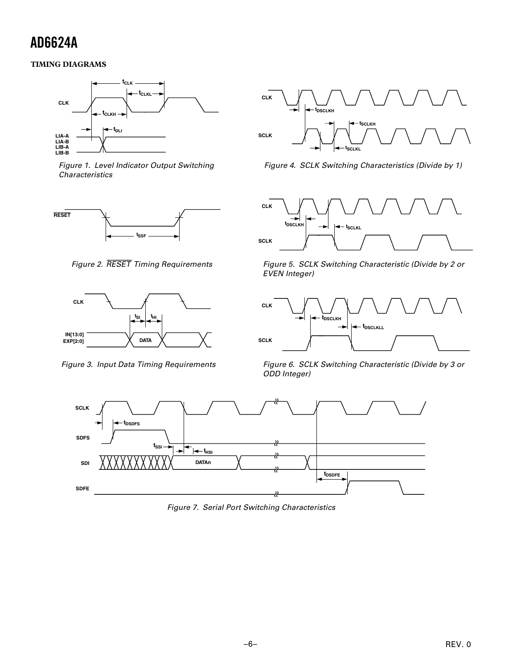# <span id="page-5-0"></span>**TIMING DIAGRAMS**



Figure 1. Level Indicator Output Switching **Characteristics** 



Figure 2. RESET Timing Requirements



Figure 3. Input Data Timing Requirements



Figure 4. SCLK Switching Characteristics (Divide by 1)



Figure 5. SCLK Switching Characteristic (Divide by 2 or EVEN Integer)



Figure 6. SCLK Switching Characteristic (Divide by 3 or ODD Integer)



Figure 7. Serial Port Switching Characteristics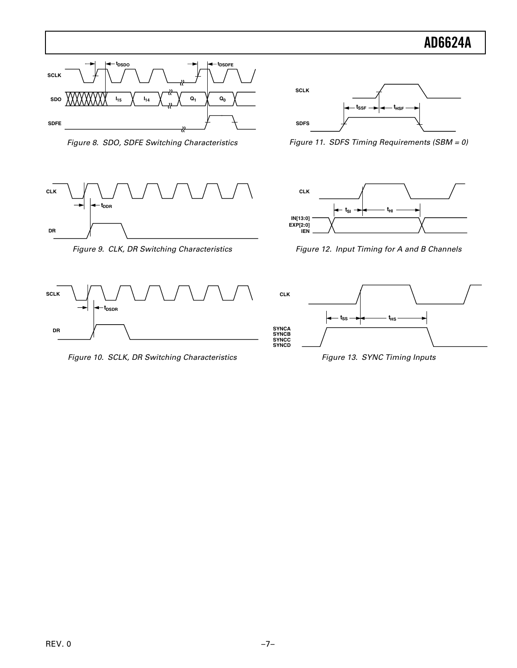

Figure 8. SDO, SDFE Switching Characteristics



Figure 9. CLK, DR Switching Characteristics



Figure 10. SCLK, DR Switching Characteristics



Figure 11. SDFS Timing Requirements (SBM = 0)



Figure 12. Input Timing for A and B Channels



Figure 13. SYNC Timing Inputs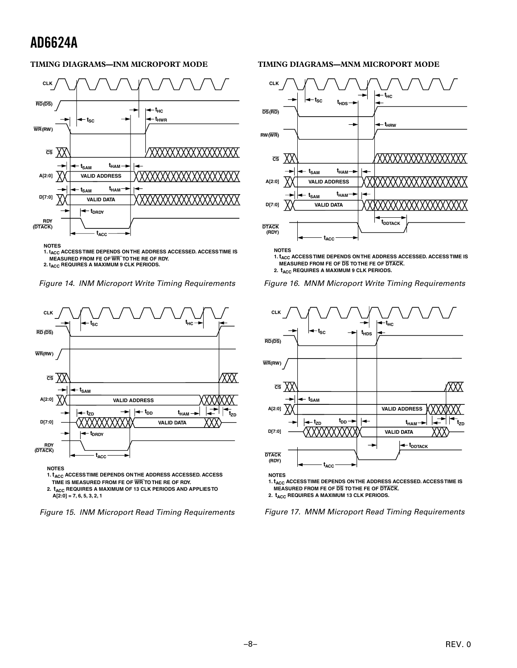# **TIMING DIAGRAMS—INM MICROPORT MODE**



**1. tACC ACCESS TIME DEPENDS ON THE ADDRESS ACCESSED. ACCESS TIME IS MEASURED FROM FE OF WR TO THE RE OF RDY. 2. t<sub>ACC</sub> REQUIRES A MAXIMUM 9 CLK PERIODS.** 

Figure 14. INM Microport Write Timing Requirements



 **A[2:0] = 7, 6, 5, 3, 2, 1**



#### **TIMING DIAGRAMS—MNM MICROPORT MODE**



**1. tACC ACCESS TIME DEPENDS ON THE ADDRESS ACCESSED. ACCESS TIME IS MEASURED FROM FE OF DS TO THE FE OF DTACK.**

**2.**  $t_{\text{ACC}}$  **REQUIRES A MAXIMUM 9 CLK PERIODS.** 





**1.**  $t_{\text{ACC}}$  **ACCESS TIME DEPENDS ON THE ADDRESS ACCESSED. ACCESS TIME IS MEASURED FROM FE OF DS TO THE FE OF DTACK.** 2.  $t_{\text{ACC}}$  REQUIRES A MAXIMUM 13 CLK PERIODS.

Figure 17. MNM Microport Read Timing Requirements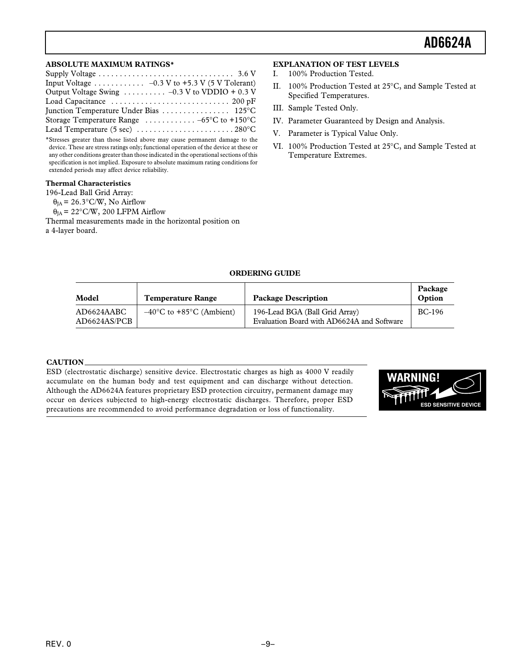#### <span id="page-8-0"></span>**ABSOLUTE MAXIMUM RATINGS\***

| Output Voltage Swing  -0.3 V to VDDIO + 0.3 V                            |
|--------------------------------------------------------------------------|
|                                                                          |
|                                                                          |
| Storage Temperature Range $\ldots \ldots \ldots -65^{\circ}C$ to +150 °C |
|                                                                          |

\*Stresses greater than those listed above may cause permanent damage to the device. These are stress ratings only; functional operation of the device at these or any other conditions greater than those indicated in the operational sections of this specification is not implied. Exposure to absolute maximum rating conditions for extended periods may affect device reliability.

# **Thermal Characteristics**

196-Lead Ball Grid Array:  $\theta_{IA}$  = 26.3°C/W, No Airflow  $\theta_{IA}$  = 22°C/W, 200 LFPM Airflow Thermal measurements made in the horizontal position on a 4-layer board.

### **EXPLANATION OF TEST LEVELS**

- I. 100% Production Tested.
- II. 100% Production Tested at 25°C, and Sample Tested at Specified Temperatures.
- III. Sample Tested Only.
- IV. Parameter Guaranteed by Design and Analysis.
- V. Parameter is Typical Value Only.
- VI. 100% Production Tested at 25°C, and Sample Tested at Temperature Extremes.

### **ORDERING GUIDE**

| Model                      | <b>Temperature Range</b>                      | <b>Package Description</b>                                                   | Package<br>Option |
|----------------------------|-----------------------------------------------|------------------------------------------------------------------------------|-------------------|
| AD6624AABC<br>AD6624AS/PCB | $-40^{\circ}$ C to +85 $^{\circ}$ C (Ambient) | 196-Lead BGA (Ball Grid Array)<br>Evaluation Board with AD6624A and Software | BC-196            |

### **CAUTION**

ESD (electrostatic discharge) sensitive device. Electrostatic charges as high as 4000 V readily accumulate on the human body and test equipment and can discharge without detection. Although the AD6624A features proprietary ESD protection circuitry, permanent damage may occur on devices subjected to high-energy electrostatic discharges. Therefore, proper ESD precautions are recommended to avoid performance degradation or loss of functionality.

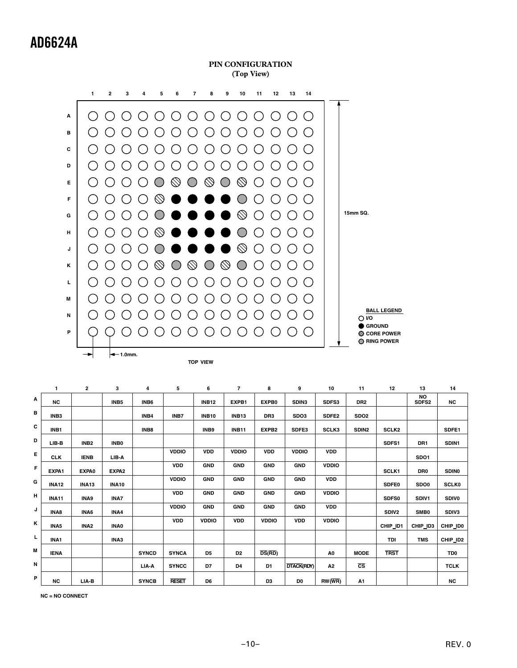**PIN CONFIGURATION (Top View)**



|   | 1                | 2                | 3                 | 4            | 5            | 6              | $\overline{7}$ | 8                 | 9                 | 10                  | 11                     | 12                | 13                             | 14              |
|---|------------------|------------------|-------------------|--------------|--------------|----------------|----------------|-------------------|-------------------|---------------------|------------------------|-------------------|--------------------------------|-----------------|
| Α | <b>NC</b>        |                  | INB <sub>5</sub>  | INB6         |              | <b>INB12</b>   | EXPB1          | EXPB0             | SDIN3             | SDFS3               | DR <sub>2</sub>        |                   | <b>NO</b><br>SDFS <sub>2</sub> | <b>NC</b>       |
| в | INB <sub>3</sub> |                  |                   | INB4         | INB7         | <b>INB10</b>   | <b>INB13</b>   | DR <sub>3</sub>   | SDO3              | SDFE <sub>2</sub>   | SDO <sub>2</sub>       |                   |                                |                 |
| c | INB1             |                  |                   | INB8         |              | INB9           | <b>INB11</b>   | EXPB <sub>2</sub> | SDFE3             | SCLK3               | SDIN <sub>2</sub>      | <b>SCLK2</b>      |                                | SDFE1           |
| D | LIB-B            | INB <sub>2</sub> | INB <sub>0</sub>  |              |              |                |                |                   |                   |                     |                        | SDFS1             | DR <sub>1</sub>                | SDIN1           |
| E | <b>CLK</b>       | <b>IENB</b>      | LIB-A             |              | <b>VDDIO</b> | <b>VDD</b>     | <b>VDDIO</b>   | <b>VDD</b>        | <b>VDDIO</b>      | <b>VDD</b>          |                        |                   | SDO1                           |                 |
| F | EXPA1            | EXPA0            | EXPA <sub>2</sub> |              | <b>VDD</b>   | <b>GND</b>     | <b>GND</b>     | <b>GND</b>        | <b>GND</b>        | <b>VDDIO</b>        |                        | SCLK1             | DR <sub>0</sub>                | <b>SDINO</b>    |
| G | <b>INA12</b>     | <b>INA13</b>     | <b>INA10</b>      |              | <b>VDDIO</b> | <b>GND</b>     | <b>GND</b>     | <b>GND</b>        | <b>GND</b>        | <b>VDD</b>          |                        | <b>SDFE0</b>      | SDO <sub>0</sub>               | <b>SCLK0</b>    |
| н | <b>INA11</b>     | INA9             | INA7              |              | <b>VDD</b>   | <b>GND</b>     | <b>GND</b>     | <b>GND</b>        | <b>GND</b>        | <b>VDDIO</b>        |                        | SDFS0             | SDIV1                          | <b>SDIVO</b>    |
| J | INA8             | INA6             | INA4              |              | <b>VDDIO</b> | <b>GND</b>     | <b>GND</b>     | <b>GND</b>        | <b>GND</b>        | <b>VDD</b>          |                        | SDIV <sub>2</sub> | SMB <sub>0</sub>               | SDIV3           |
| Κ | INA <sub>5</sub> | INA <sub>2</sub> | <b>INA0</b>       |              | <b>VDD</b>   | <b>VDDIO</b>   | <b>VDD</b>     | <b>VDDIO</b>      | <b>VDD</b>        | <b>VDDIO</b>        |                        | CHIP_ID1          | CHIP_ID3                       | CHIP_ID0        |
| г | INA1             |                  | INA3              |              |              |                |                |                   |                   |                     |                        | TDI               | <b>TMS</b>                     | CHIP_ID2        |
| М | <b>IENA</b>      |                  |                   | <b>SYNCD</b> | <b>SYNCA</b> | D <sub>5</sub> | D <sub>2</sub> | DS(RD)            |                   | A <sub>0</sub>      | <b>MODE</b>            | <b>TRST</b>       |                                | TD <sub>0</sub> |
| N |                  |                  |                   | LIA-A        | <b>SYNCC</b> | D7             | D4             | D1                | <b>DTACK(RDY)</b> | A2                  | $\overline{\text{cs}}$ |                   |                                | <b>TCLK</b>     |
| P | <b>NC</b>        | LIA-B            |                   | <b>SYNCB</b> | <b>RESET</b> | D <sub>6</sub> |                | D <sub>3</sub>    | D <sub>0</sub>    | $RW(\overline{WR})$ | A1                     |                   |                                | <b>NC</b>       |

**NC = NO CONNECT**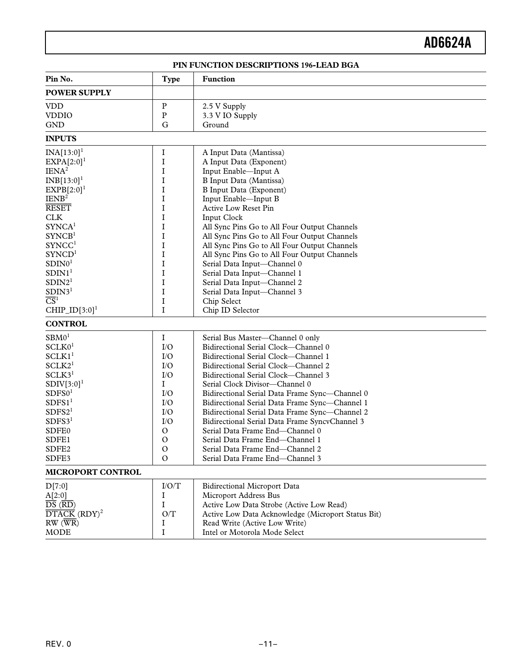**PIN FUNCTION DESCRIPTIONS 196-LEAD BGA**

<span id="page-10-0"></span>

| Pin No.                                           | <b>Type</b>   | <b>Function</b>                                    |
|---------------------------------------------------|---------------|----------------------------------------------------|
| <b>POWER SUPPLY</b>                               |               |                                                    |
| <b>VDD</b>                                        | $\mathbf{P}$  | 2.5 V Supply                                       |
| <b>VDDIO</b>                                      | P             | 3.3 V IO Supply                                    |
| <b>GND</b>                                        | G             | Ground                                             |
| <b>INPUTS</b>                                     |               |                                                    |
| $INA[13:0]$ <sup>1</sup>                          | $\rm I$       | A Input Data (Mantissa)                            |
| $EXPA[2:0]$ <sup>1</sup>                          | I             | A Input Data (Exponent)                            |
| IENA <sup>2</sup>                                 | $\rm I$       | Input Enable-Input A                               |
| $INB[13:0]$ <sup>1</sup>                          | I             | B Input Data (Mantissa)                            |
| $EXPB[2:0]$ <sup>1</sup>                          | I             | <b>B</b> Input Data (Exponent)                     |
| IENB <sup>2</sup>                                 | $\bf I$       | Input Enable-Input B                               |
| <b>RESET</b>                                      | I             | <b>Active Low Reset Pin</b>                        |
| <b>CLK</b>                                        | $\mathbf I$   | <b>Input Clock</b>                                 |
| SYNCA <sup>1</sup>                                | $\bf I$       | All Sync Pins Go to All Four Output Channels       |
| SYNCB <sup>1</sup>                                | I             |                                                    |
|                                                   |               | All Sync Pins Go to All Four Output Channels       |
| SYNCC <sup>1</sup>                                | I             | All Sync Pins Go to All Four Output Channels       |
| SYNCD <sup>1</sup>                                | $\bf I$       | All Sync Pins Go to All Four Output Channels       |
| SDINO <sup>1</sup>                                | I             | Serial Data Input-Channel 0                        |
| SDIN1 <sup>1</sup>                                | I             | Serial Data Input-Channel 1                        |
| SDIN2 <sup>1</sup>                                | $\bf I$       | Serial Data Input-Channel 2                        |
| SDIN3 <sup>1</sup>                                | I             | Serial Data Input-Channel 3                        |
| $\overline{\text{CS}}^1$                          | I             | Chip Select                                        |
| $CHIP\_ID[3:0]$ <sup>1</sup>                      | $\bf I$       | Chip ID Selector                                   |
| <b>CONTROL</b>                                    |               |                                                    |
| SBM0 <sup>1</sup>                                 | $\bf{I}$      | Serial Bus Master-Channel 0 only                   |
| SCLKO <sup>1</sup>                                | I/O           | Bidirectional Serial Clock-Channel 0               |
| SCLK1 <sup>1</sup>                                | I/O           | Bidirectional Serial Clock-Channel 1               |
| SCLK2 <sup>1</sup>                                | $VO$          | Bidirectional Serial Clock-Channel 2               |
| SCLK3 <sup>1</sup>                                | I/O           | Bidirectional Serial Clock-Channel 3               |
| $SDIV[3:0]$ <sup>1</sup>                          | I             | Serial Clock Divisor-Channel 0                     |
| SDFS0 <sup>1</sup>                                | $IO$          | Bidirectional Serial Data Frame Sync-Channel 0     |
| SDFS1 <sup>1</sup>                                | I/O           | Bidirectional Serial Data Frame Sync-Channel 1     |
| SDFS2 <sup>1</sup>                                | $VO$          | Bidirectional Serial Data Frame Sync-Channel 2     |
| SDFS3 <sup>1</sup>                                | I/O           | Bidirectional Serial Data Frame SyncvChannel 3     |
| SDFE0                                             | $\mathcal{O}$ | Serial Data Frame End-Channel 0                    |
| SDFE1                                             | $\mathcal{O}$ | Serial Data Frame End-Channel 1                    |
| SDFE <sub>2</sub>                                 | $\rm ^o$      | Serial Data Frame End-Channel 2                    |
| SDFE3                                             | $\mathbf{O}$  | Serial Data Frame End-Channel 3                    |
| MICROPORT CONTROL                                 |               |                                                    |
| D[7:0]                                            | I/O/T         | <b>Bidirectional Microport Data</b>                |
| A[2:0]                                            | I             | Microport Address Bus                              |
| $\overline{\text{DS}}$ ( $\overline{\text{RD}}$ ) | $\mathbf I$   | Active Low Data Strobe (Active Low Read)           |
| $\overline{\text{DTACK}}$ (RDY) <sup>2</sup>      | O/T           | Active Low Data Acknowledge (Microport Status Bit) |
| $RW(\overline{WR})$                               | I             | Read Write (Active Low Write)                      |
| <b>MODE</b>                                       | $\bf{I}$      | Intel or Motorola Mode Select                      |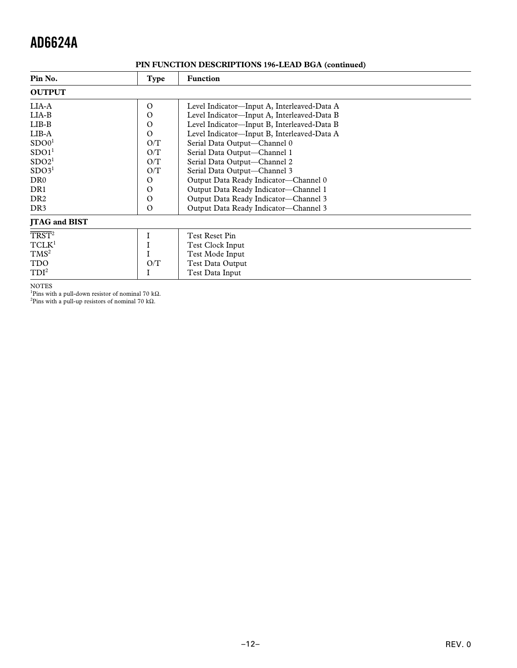| Pin No.                     | Type     | <b>Function</b>                             |  |  |  |
|-----------------------------|----------|---------------------------------------------|--|--|--|
| <b>OUTPUT</b>               |          |                                             |  |  |  |
| LIA-A                       | $\Omega$ | Level Indicator—Input A, Interleaved-Data A |  |  |  |
| $LIA-B$                     | $\Omega$ | Level Indicator-Input A, Interleaved-Data B |  |  |  |
| $LIB-B$                     | $\Omega$ | Level Indicator—Input B, Interleaved-Data B |  |  |  |
| $LIB-A$                     | $\Omega$ | Level Indicator-Input B, Interleaved-Data A |  |  |  |
| SDO0 <sup>1</sup>           | O/T      | Serial Data Output-Channel 0                |  |  |  |
| SDO1 <sup>1</sup>           | O/T      | Serial Data Output-Channel 1                |  |  |  |
| SDO2 <sup>1</sup>           | O/T      | Serial Data Output-Channel 2                |  |  |  |
| SDO3 <sup>1</sup>           | O/T      | Serial Data Output-Channel 3                |  |  |  |
| DR <sub>0</sub>             | O        | Output Data Ready Indicator-Channel 0       |  |  |  |
| DR <sub>1</sub>             | $\Omega$ | Output Data Ready Indicator-Channel 1       |  |  |  |
| DR <sub>2</sub>             | $\Omega$ | Output Data Ready Indicator-Channel 3       |  |  |  |
| DR <sub>3</sub>             | $\Omega$ | Output Data Ready Indicator-Channel 3       |  |  |  |
| <b>JTAG</b> and <b>BIST</b> |          |                                             |  |  |  |
| $T RST^2$                   |          | <b>Test Reset Pin</b>                       |  |  |  |
| TCLK <sup>1</sup>           |          | Test Clock Input                            |  |  |  |
| TMS <sup>2</sup>            |          | Test Mode Input                             |  |  |  |
| <b>TDO</b>                  | O/T      | Test Data Output                            |  |  |  |
| TDI <sup>2</sup>            |          | Test Data Input                             |  |  |  |

# **PIN FUNCTION DESCRIPTIONS 196-LEAD BGA (continued)**

NOTES 1 Pins with a pull-down resistor of nominal 70 kΩ.

<sup>2</sup>Pins with a pull-up resistors of nominal 70 kΩ.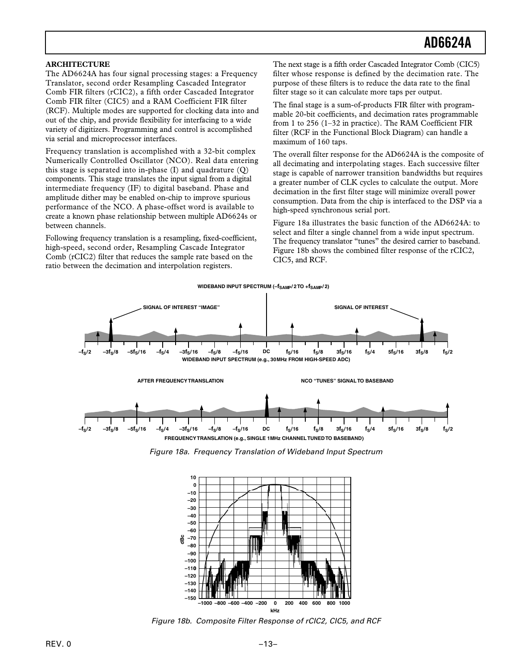### <span id="page-12-0"></span>**ARCHITECTURE**

The AD6624A has four signal processing stages: a Frequency Translator, second order Resampling Cascaded Integrator Comb FIR filters (rCIC2), a fifth order Cascaded Integrator Comb FIR filter (CIC5) and a RAM Coefficient FIR filter (RCF). Multiple modes are supported for clocking data into and out of the chip, and provide flexibility for interfacing to a wide variety of digitizers. Programming and control is accomplished via serial and microprocessor interfaces.

Frequency translation is accomplished with a 32-bit complex Numerically Controlled Oscillator (NCO). Real data entering this stage is separated into in-phase (I) and quadrature (Q) components. This stage translates the input signal from a digital intermediate frequency (IF) to digital baseband. Phase and amplitude dither may be enabled on-chip to improve spurious performance of the NCO. A phase-offset word is available to create a known phase relationship between multiple AD6624s or between channels.

Following frequency translation is a resampling, fixed-coefficient, high-speed, second order, Resampling Cascade Integrator Comb (rCIC2) filter that reduces the sample rate based on the ratio between the decimation and interpolation registers.

The next stage is a fifth order Cascaded Integrator Comb (CIC5) filter whose response is defined by the decimation rate. The purpose of these filters is to reduce the data rate to the final filter stage so it can calculate more taps per output.

The final stage is a sum-of-products FIR filter with programmable 20-bit coefficients, and decimation rates programmable from 1 to 256 (1–32 in practice). The RAM Coefficient FIR filter (RCF in the Functional Block Diagram) can handle a maximum of 160 taps.

The overall filter response for the AD6624A is the composite of all decimating and interpolating stages. Each successive filter stage is capable of narrower transition bandwidths but requires a greater number of CLK cycles to calculate the output. More decimation in the first filter stage will minimize overall power consumption. Data from the chip is interfaced to the DSP via a high-speed synchronous serial port.

Figure 18a illustrates the basic function of the AD6624A: to select and filter a single channel from a wide input spectrum. The frequency translator "tunes" the desired carrier to baseband. Figure 18b shows the combined filter response of the rCIC2, CIC5, and RCF.



Figure 18a. Frequency Translation of Wideband Input Spectrum



Figure 18b. Composite Filter Response of rCIC2, CIC5, and RCF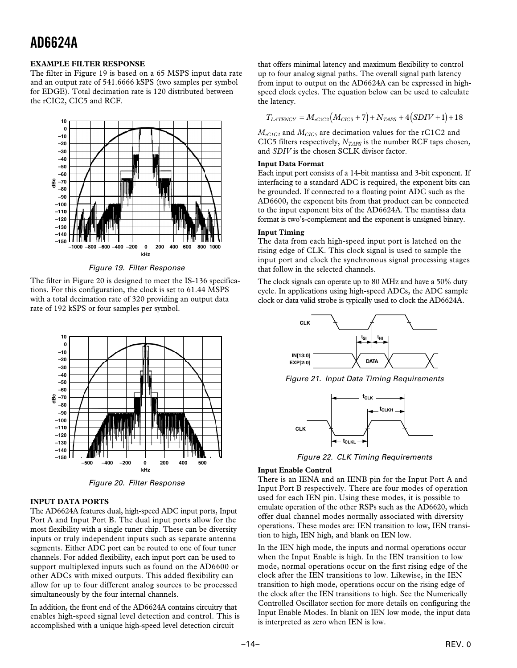### <span id="page-13-0"></span>**EXAMPLE FILTER RESPONSE**

The filter in Figure 19 is based on a 65 MSPS input data rate and an output rate of 541.6666 kSPS (two samples per symbol for EDGE). Total decimation rate is 120 distributed between the rCIC2, CIC5 and RCF.



Figure 19. Filter Response

The filter in Figure 20 is designed to meet the IS-136 specifications. For this configuration, the clock is set to 61.44 MSPS with a total decimation rate of 320 providing an output data rate of 192 kSPS or four samples per symbol.



Figure 20. Filter Response

# **INPUT DATA PORTS**

The AD6624A features dual, high-speed ADC input ports, Input Port A and Input Port B. The dual input ports allow for the most flexibility with a single tuner chip. These can be diversity inputs or truly independent inputs such as separate antenna segments. Either ADC port can be routed to one of four tuner channels. For added flexibility, each input port can be used to support multiplexed inputs such as found on the AD6600 or other ADCs with mixed outputs. This added flexibility can allow for up to four different analog sources to be processed simultaneously by the four internal channels.

In addition, the front end of the AD6624A contains circuitry that enables high-speed signal level detection and control. This is accomplished with a unique high-speed level detection circuit

that offers minimal latency and maximum flexibility to control up to four analog signal paths. The overall signal path latency from input to output on the AD6624A can be expressed in highspeed clock cycles. The equation below can be used to calculate the latency.

$$
T_{LATENCY}=M_{rClC2}\big(M_{CIC5}+7\big)+N_{TAPS}+4\big(SDIV+1\big)+18
$$

 $M_{rClC2}$  and  $M_{ClC5}$  are decimation values for the rC1C2 and CIC5 filters respectively,  $N<sub>TAPS</sub>$  is the number RCF taps chosen, and *SDIV* is the chosen SCLK divisor factor.

#### **Input Data Format**

Each input port consists of a 14-bit mantissa and 3-bit exponent. If interfacing to a standard ADC is required, the exponent bits can be grounded. If connected to a floating point ADC such as the AD6600, the exponent bits from that product can be connected to the input exponent bits of the AD6624A. The mantissa data format is two's-complement and the exponent is unsigned binary.

# **Input Timing**

The data from each high-speed input port is latched on the rising edge of CLK. This clock signal is used to sample the input port and clock the synchronous signal processing stages that follow in the selected channels.

The clock signals can operate up to 80 MHz and have a 50% duty cycle. In applications using high-speed ADCs, the ADC sample clock or data valid strobe is typically used to clock the AD6624A.



Figure 21. Input Data Timing Requirements



Figure 22. CLK Timing Requirements

### **Input Enable Control**

There is an IENA and an IENB pin for the Input Port A and Input Port B respectively. There are four modes of operation used for each IEN pin. Using these modes, it is possible to emulate operation of the other RSPs such as the AD6620, which offer dual channel modes normally associated with diversity operations. These modes are: IEN transition to low, IEN transition to high, IEN high, and blank on IEN low.

In the IEN high mode, the inputs and normal operations occur when the Input Enable is high. In the IEN transition to low mode, normal operations occur on the first rising edge of the clock after the IEN transitions to low. Likewise, in the IEN transition to high mode, operations occur on the rising edge of the clock after the IEN transitions to high. See the Numerically Controlled Oscillator section for more details on configuring the Input Enable Modes. In blank on IEN low mode, the input data is interpreted as zero when IEN is low.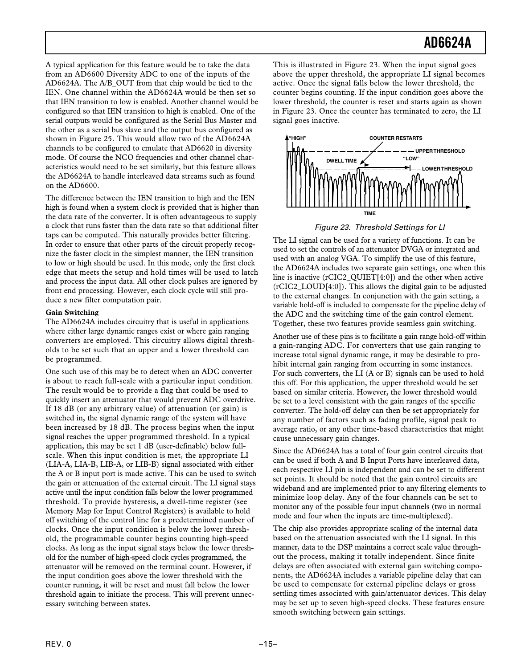<span id="page-14-0"></span>A typical application for this feature would be to take the data from an AD6600 Diversity ADC to one of the inputs of the AD6624A. The A/B\_OUT from that chip would be tied to the IEN. One channel within the AD6624A would be then set so that IEN transition to low is enabled. Another channel would be configured so that IEN transition to high is enabled. One of the serial outputs would be configured as the Serial Bus Master and the other as a serial bus slave and the output bus configured as shown in Figure 25. This would allow two of the AD6624A channels to be configured to emulate that AD6620 in diversity mode. Of course the NCO frequencies and other channel characteristics would need to be set similarly, but this feature allows the AD6624A to handle interleaved data streams such as found on the AD6600.

The difference between the IEN transition to high and the IEN high is found when a system clock is provided that is higher than the data rate of the converter. It is often advantageous to supply a clock that runs faster than the data rate so that additional filter taps can be computed. This naturally provides better filtering. In order to ensure that other parts of the circuit properly recognize the faster clock in the simplest manner, the IEN transition to low or high should be used. In this mode, only the first clock edge that meets the setup and hold times will be used to latch and process the input data. All other clock pulses are ignored by front end processing. However, each clock cycle will still produce a new filter computation pair.

### **Gain Switching**

The AD6624A includes circuitry that is useful in applications where either large dynamic ranges exist or where gain ranging converters are employed. This circuitry allows digital thresholds to be set such that an upper and a lower threshold can be programmed.

One such use of this may be to detect when an ADC converter is about to reach full-scale with a particular input condition. The result would be to provide a flag that could be used to quickly insert an attenuator that would prevent ADC overdrive. If 18 dB (or any arbitrary value) of attenuation (or gain) is switched in, the signal dynamic range of the system will have been increased by 18 dB. The process begins when the input signal reaches the upper programmed threshold. In a typical application, this may be set 1 dB (user-definable) below fullscale. When this input condition is met, the appropriate LI (LIA-A, LIA-B, LIB-A, or LIB-B) signal associated with either the A or B input port is made active. This can be used to switch the gain or attenuation of the external circuit. The LI signal stays active until the input condition falls below the lower programmed threshold. To provide hysteresis, a dwell-time register (see Memory Map for Input Control Registers) is available to hold off switching of the control line for a predetermined number of clocks. Once the input condition is below the lower threshold, the programmable counter begins counting high-speed clocks. As long as the input signal stays below the lower threshold for the number of high-speed clock cycles programmed, the attenuator will be removed on the terminal count. However, if the input condition goes above the lower threshold with the counter running, it will be reset and must fall below the lower threshold again to initiate the process. This will prevent unnecessary switching between states.

This is illustrated in Figure 23. When the input signal goes above the upper threshold, the appropriate LI signal becomes active. Once the signal falls below the lower threshold, the counter begins counting. If the input condition goes above the lower threshold, the counter is reset and starts again as shown in Figure 23. Once the counter has terminated to zero, the LI signal goes inactive.



Figure 23. Threshold Settings for LI

The LI signal can be used for a variety of functions. It can be used to set the controls of an attenuator DVGA or integrated and used with an analog VGA. To simplify the use of this feature, the AD6624A includes two separate gain settings, one when this line is inactive (rCIC2\_QUIET[4:0]) and the other when active (rCIC2\_LOUD[4:0]). This allows the digital gain to be adjusted to the external changes. In conjunction with the gain setting, a variable hold-off is included to compensate for the pipeline delay of the ADC and the switching time of the gain control element. Together, these two features provide seamless gain switching.

Another use of these pins is to facilitate a gain range hold-off within a gain-ranging ADC. For converters that use gain ranging to increase total signal dynamic range, it may be desirable to prohibit internal gain ranging from occurring in some instances. For such converters, the LI (A or B) signals can be used to hold this off. For this application, the upper threshold would be set based on similar criteria. However, the lower threshold would be set to a level consistent with the gain ranges of the specific converter. The hold-off delay can then be set appropriately for any number of factors such as fading profile, signal peak to average ratio, or any other time-based characteristics that might cause unnecessary gain changes.

Since the AD6624A has a total of four gain control circuits that can be used if both A and B Input Ports have interleaved data, each respective LI pin is independent and can be set to different set points. It should be noted that the gain control circuits are wideband and are implemented prior to any filtering elements to minimize loop delay. Any of the four channels can be set to monitor any of the possible four input channels (two in normal mode and four when the inputs are time-multiplexed).

The chip also provides appropriate scaling of the internal data based on the attenuation associated with the LI signal. In this manner, data to the DSP maintains a correct scale value throughout the process, making it totally independent. Since finite delays are often associated with external gain switching components, the AD6624A includes a variable pipeline delay that can be used to compensate for external pipeline delays or gross settling times associated with gain/attenuator devices. This delay may be set up to seven high-speed clocks. These features ensure smooth switching between gain settings.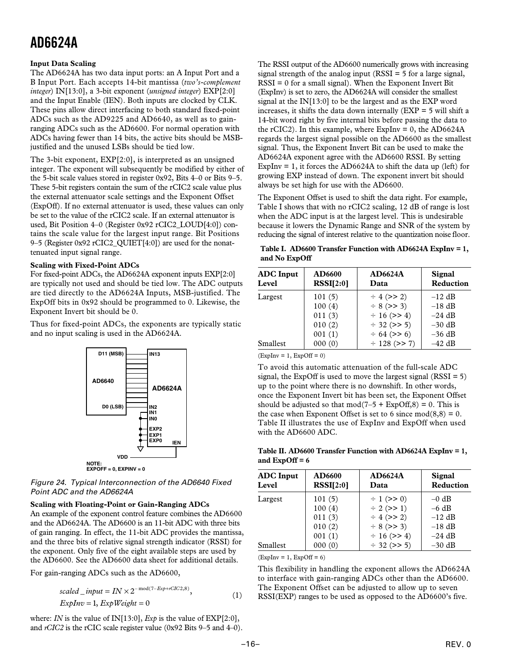# <span id="page-15-0"></span>**Input Data Scaling**

The AD6624A has two data input ports: an A Input Port and a B Input Port. Each accepts 14-bit mantissa (*two's-complement integer*) IN[13:0], a 3-bit exponent (*unsigned integer*) EXP[2:0] and the Input Enable (IEN). Both inputs are clocked by CLK. These pins allow direct interfacing to both standard fixed-point ADCs such as the AD9225 and AD6640, as well as to gainranging ADCs such as the AD6600. For normal operation with ADCs having fewer than 14 bits, the active bits should be MSBjustified and the unused LSBs should be tied low.

The 3-bit exponent, EXP[2:0], is interpreted as an unsigned integer. The exponent will subsequently be modified by either of the 5-bit scale values stored in register 0x92, Bits 4–0 or Bits 9–5. These 5-bit registers contain the sum of the rCIC2 scale value plus the external attenuator scale settings and the Exponent Offset (ExpOff). If no external attenuator is used, these values can only be set to the value of the rCIC2 scale. If an external attenuator is used, Bit Position 4–0 (Register 0x92 rCIC2\_LOUD[4:0]) contains the scale value for the largest input range. Bit Positions 9–5 (Register 0x92 rCIC2\_QUIET[4:0]) are used for the nonattenuated input signal range.

### **Scaling with Fixed-Point ADCs**

For fixed-point ADCs, the AD6624A exponent inputs EXP[2:0] are typically not used and should be tied low. The ADC outputs are tied directly to the AD6624A Inputs, MSB-justified. The ExpOff bits in 0x92 should be programmed to 0. Likewise, the Exponent Invert bit should be 0.

Thus for fixed-point ADCs, the exponents are typically static and no input scaling is used in the AD6624A.



Figure 24. Typical Interconnection of the AD6640 Fixed Point ADC and the AD6624A

### **Scaling with Floating-Point or Gain-Ranging ADCs**

An example of the exponent control feature combines the AD6600 and the AD6624A. The AD6600 is an 11-bit ADC with three bits of gain ranging. In effect, the 11-bit ADC provides the mantissa, and the three bits of relative signal strength indicator (RSSI) for the exponent. Only five of the eight available steps are used by the AD6600. See the AD6600 data sheet for additional details.

For gain-ranging ADCs such as the AD6600,

$$
scaled\_input = IN \times 2^{-mod(7-Exp+rCIC2,8)},
$$
  
\n
$$
ExpInv = 1, ExpWeight = 0
$$
 (1)

where: *IN* is the value of IN[13:0], *Exp* is the value of EXP[2:0], and *rCIC2* is the rCIC scale register value (0x92 Bits 9–5 and 4–0). The RSSI output of the AD6600 numerically grows with increasing signal strength of the analog input  $(RSSI = 5$  for a large signal,  $RSSI = 0$  for a small signal). When the Exponent Invert Bit (ExpInv) is set to zero, the AD6624A will consider the smallest signal at the IN[13:0] to be the largest and as the EXP word increases, it shifts the data down internally  $(EXP = 5$  will shift a 14-bit word right by five internal bits before passing the data to the rCIC2). In this example, where  $ExpInv = 0$ , the  $AD6624A$ regards the largest signal possible on the AD6600 as the smallest signal. Thus, the Exponent Invert Bit can be used to make the AD6624A exponent agree with the AD6600 RSSI. By setting ExpInv = 1, it forces the AD6624A to shift the data up (left) for growing EXP instead of down. The exponent invert bit should always be set high for use with the AD6600.

The Exponent Offset is used to shift the data right. For example, Table I shows that with no rCIC2 scaling, 12 dB of range is lost when the ADC input is at the largest level. This is undesirable because it lowers the Dynamic Range and SNR of the system by reducing the signal of interest relative to the quantization noise floor.

**Table I. AD6600 Transfer Function with AD6624A ExpInv = 1, and No ExpOff**

| <b>ADC</b> Input<br>Level | AD6600<br>RSSI[2:0] | <b>AD6624A</b><br>Data | Signal<br>Reduction |
|---------------------------|---------------------|------------------------|---------------------|
| Largest                   | 101(5)              | $\div$ 4 (>> 2)        | $-12$ dB            |
|                           | 100(4)              | $\div$ 8 (>> 3)        | $-18$ dB            |
|                           | 011(3)              | $\div$ 16 (>> 4)       | $-24$ dB            |
|                           | 010(2)              | $\div$ 32 (>> 5)       | $-30$ dB            |
|                           | 001(1)              | $\div$ 64 (>> 6)       | $-36$ dB            |
| Smallest                  | 000(0)              | $\div$ 128 (>> 7)      | $-42$ dB            |

 $(ExpInv = 1, ExpOff = 0)$ 

To avoid this automatic attenuation of the full-scale ADC signal, the ExpOff is used to move the largest signal  $(RSSI = 5)$ up to the point where there is no downshift. In other words, once the Exponent Invert bit has been set, the Exponent Offset should be adjusted so that mod( $7-5 + ExpOff, 8$ ) = 0. This is the case when Exponent Offset is set to 6 since  $mod(8,8) = 0$ . Table II illustrates the use of ExpInv and ExpOff when used with the AD6600 ADC.

**Table II. AD6600 Transfer Function with AD6624A ExpInv = 1, and ExpOff = 6**

| <b>ADC</b> Input<br>Level | AD6600<br>RSSI[2:0] | <b>AD6624A</b><br>Data             | Signal<br><b>Reduction</b> |
|---------------------------|---------------------|------------------------------------|----------------------------|
| Largest                   | 101(5)              | $\div$ 1 (>> 0)                    | $-0$ dB                    |
|                           | 100(4)<br>011(3)    | $\div$ 2 (>> 1)<br>$\div$ 4 (>> 2) | $-6$ dB<br>$-12$ dB        |
|                           | 010(2)              | $\div$ 8 (>> 3)                    | $-18$ dB                   |
|                           | 001(1)              | $\div$ 16 (>> 4)                   | $-24$ dB                   |
| Smallest                  | 000(0)              | $\div$ 32 (>> 5)                   | $-30$ dB                   |

 $(ExpInv = 1, ExpOff = 6)$ 

This flexibility in handling the exponent allows the AD6624A to interface with gain-ranging ADCs other than the AD6600. The Exponent Offset can be adjusted to allow up to seven RSSI(EXP) ranges to be used as opposed to the AD6600's five.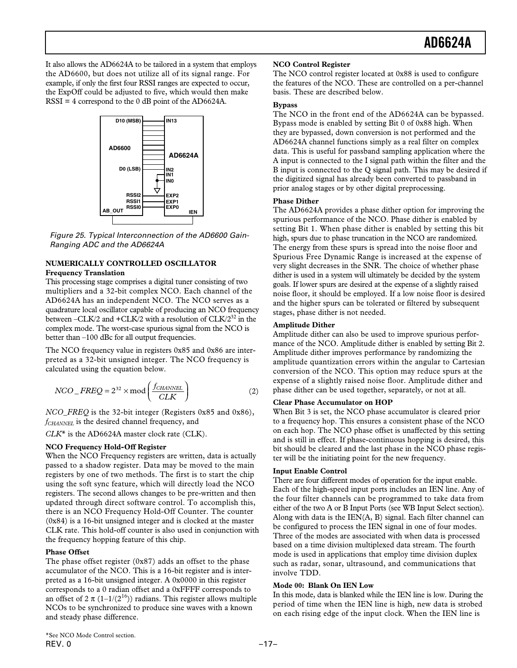<span id="page-16-0"></span>It also allows the AD6624A to be tailored in a system that employs the AD6600, but does not utilize all of its signal range. For example, if only the first four RSSI ranges are expected to occur, the ExpOff could be adjusted to five, which would then make  $RSSI = 4$  correspond to the 0 dB point of the AD6624A.



Figure 25. Typical Interconnection of the AD6600 Gain-Ranging ADC and the AD6624A

# **NUMERICALLY CONTROLLED OSCILLATOR Frequency Translation**

This processing stage comprises a digital tuner consisting of two multipliers and a 32-bit complex NCO. Each channel of the AD6624A has an independent NCO. The NCO serves as a quadrature local oscillator capable of producing an NCO frequency between –CLK/2 and +CLK/2 with a resolution of  $CLK/2^{32}$  in the complex mode. The worst-case spurious signal from the NCO is better than –100 dBc for all output frequencies.

The NCO frequency value in registers 0x85 and 0x86 are interpreted as a 32-bit unsigned integer. The NCO frequency is calculated using the equation below.

$$
NCO\_FREQ = 2^{32} \times \text{mod}\left(\frac{f_{CHANNEL}}{CLK}\right)
$$
 (2)

*NCO*\_*FREQ* is the 32-bit integer (Registers 0x85 and 0x86), *fCHANNEL* is the desired channel frequency, and

*CLK*\* is the AD6624A master clock rate (CLK).

# **NCO Frequency Hold-Off Register**

When the NCO Frequency registers are written, data is actually passed to a shadow register. Data may be moved to the main registers by one of two methods. The first is to start the chip using the soft sync feature, which will directly load the NCO registers. The second allows changes to be pre-written and then updated through direct software control. To accomplish this, there is an NCO Frequency Hold-Off Counter. The counter (0x84) is a 16-bit unsigned integer and is clocked at the master CLK rate. This hold-off counter is also used in conjunction with the frequency hopping feature of this chip.

# **Phase Offset**

The phase offset register (0x87) adds an offset to the phase accumulator of the NCO. This is a 16-bit register and is interpreted as a 16-bit unsigned integer. A 0x0000 in this register corresponds to a 0 radian offset and a 0xFFFF corresponds to an offset of 2  $\pi$  (1–1/(2<sup>16</sup>)) radians. This register allows multiple NCOs to be synchronized to produce sine waves with a known and steady phase difference.

### **NCO Control Register**

The NCO control register located at 0x88 is used to configure the features of the NCO. These are controlled on a per-channel basis. These are described below.

### **Bypass**

The NCO in the front end of the AD6624A can be bypassed. Bypass mode is enabled by setting Bit 0 of 0x88 high. When they are bypassed, down conversion is not performed and the AD6624A channel functions simply as a real filter on complex data. This is useful for passband sampling application where the A input is connected to the I signal path within the filter and the B input is connected to the Q signal path. This may be desired if the digitized signal has already been converted to passband in prior analog stages or by other digital preprocessing.

### **Phase Dither**

The AD6624A provides a phase dither option for improving the spurious performance of the NCO. Phase dither is enabled by setting Bit 1. When phase dither is enabled by setting this bit high, spurs due to phase truncation in the NCO are randomized. The energy from these spurs is spread into the noise floor and Spurious Free Dynamic Range is increased at the expense of very slight decreases in the SNR. The choice of whether phase dither is used in a system will ultimately be decided by the system goals. If lower spurs are desired at the expense of a slightly raised noise floor, it should be employed. If a low noise floor is desired and the higher spurs can be tolerated or filtered by subsequent stages, phase dither is not needed.

### **Amplitude Dither**

Amplitude dither can also be used to improve spurious performance of the NCO. Amplitude dither is enabled by setting Bit 2. Amplitude dither improves performance by randomizing the amplitude quantization errors within the angular to Cartesian conversion of the NCO. This option may reduce spurs at the expense of a slightly raised noise floor. Amplitude dither and phase dither can be used together, separately, or not at all.

# **Clear Phase Accumulator on HOP**

When Bit 3 is set, the NCO phase accumulator is cleared prior to a frequency hop. This ensures a consistent phase of the NCO on each hop. The NCO phase offset is unaffected by this setting and is still in effect. If phase-continuous hopping is desired, this bit should be cleared and the last phase in the NCO phase register will be the initiating point for the new frequency.

### **Input Enable Control**

There are four different modes of operation for the input enable. Each of the high-speed input ports includes an IEN line. Any of the four filter channels can be programmed to take data from either of the two A or B Input Ports (see WB Input Select section). Along with data is the IEN(A, B) signal. Each filter channel can be configured to process the IEN signal in one of four modes. Three of the modes are associated with when data is processed based on a time division multiplexed data stream. The fourth mode is used in applications that employ time division duplex such as radar, sonar, ultrasound, and communications that involve TDD.

### **Mode 00: Blank On IEN Low**

In this mode, data is blanked while the IEN line is low. During the period of time when the IEN line is high, new data is strobed on each rising edge of the input clock. When the IEN line is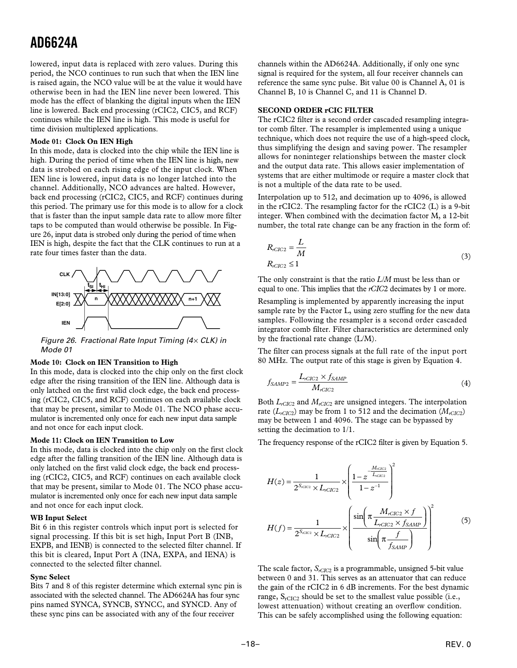<span id="page-17-0"></span>lowered, input data is replaced with zero values. During this period, the NCO continues to run such that when the IEN line is raised again, the NCO value will be at the value it would have otherwise been in had the IEN line never been lowered. This mode has the effect of blanking the digital inputs when the IEN line is lowered. Back end processing (rCIC2, CIC5, and RCF) continues while the IEN line is high. This mode is useful for time division multiplexed applications.

#### **Mode 01: Clock On IEN High**

In this mode, data is clocked into the chip while the IEN line is high. During the period of time when the IEN line is high, new data is strobed on each rising edge of the input clock. When IEN line is lowered, input data is no longer latched into the channel. Additionally, NCO advances are halted. However, back end processing (rCIC2, CIC5, and RCF) continues during this period. The primary use for this mode is to allow for a clock that is faster than the input sample data rate to allow more filter taps to be computed than would otherwise be possible. In Figure 26, input data is strobed only during the period of time when IEN is high, despite the fact that the CLK continues to run at a rate four times faster than the data.



Figure 26. Fractional Rate Input Timing  $(4 \times CLK)$  in Mode 01

#### **Mode 10: Clock on IEN Transition to High**

In this mode, data is clocked into the chip only on the first clock edge after the rising transition of the IEN line. Although data is only latched on the first valid clock edge, the back end processing (rCIC2, CIC5, and RCF) continues on each available clock that may be present, similar to Mode 01. The NCO phase accumulator is incremented only once for each new input data sample and not once for each input clock.

#### **Mode 11: Clock on IEN Transition to Low**

In this mode, data is clocked into the chip only on the first clock edge after the falling transition of the IEN line. Although data is only latched on the first valid clock edge, the back end processing (rCIC2, CIC5, and RCF) continues on each available clock that may be present, similar to Mode 01. The NCO phase accumulator is incremented only once for each new input data sample and not once for each input clock.

#### **WB Input Select**

Bit 6 in this register controls which input port is selected for signal processing. If this bit is set high, Input Port B (INB, EXPB, and IENB) is connected to the selected filter channel. If this bit is cleared, Input Port A (INA, EXPA, and IENA) is connected to the selected filter channel.

#### **Sync Select**

Bits 7 and 8 of this register determine which external sync pin is associated with the selected channel. The AD6624A has four sync pins named SYNCA, SYNCB, SYNCC, and SYNCD. Any of these sync pins can be associated with any of the four receiver

channels within the AD6624A. Additionally, if only one sync signal is required for the system, all four receiver channels can reference the same sync pulse. Bit value 00 is Channel A, 01 is Channel B, 10 is Channel C, and 11 is Channel D.

### **SECOND ORDER rCIC FILTER**

The rCIC2 filter is a second order cascaded resampling integrator comb filter. The resampler is implemented using a unique technique, which does not require the use of a high-speed clock, thus simplifying the design and saving power. The resampler allows for noninteger relationships between the master clock and the output data rate. This allows easier implementation of systems that are either multimode or require a master clock that is not a multiple of the data rate to be used.

Interpolation up to 512, and decimation up to 4096, is allowed in the rCIC2. The resampling factor for the rCIC2 (L) is a 9-bit integer. When combined with the decimation factor M, a 12-bit number, the total rate change can be any fraction in the form of:

$$
R_{rClC2} = \frac{L}{M}
$$
  
\n
$$
R_{rClC2} \le 1
$$
\n(3)

The only constraint is that the ratio *L/M* must be less than or equal to one. This implies that the *rCIC*2 decimates by 1 or more.

Resampling is implemented by apparently increasing the input sample rate by the Factor L, using zero stuffing for the new data samples. Following the resampler is a second order cascaded integrator comb filter. Filter characteristics are determined only by the fractional rate change (L/M).

The filter can process signals at the full rate of the input port 80 MHz. The output rate of this stage is given by Equation 4.

$$
f_{SAMP2} = \frac{L_{rClC2} \times f_{SAMP}}{M_{rClC2}} \tag{4}
$$

Both *LrCIC*2 and *MrCIC*2 are unsigned integers. The interpolation rate ( $L_{rClC2}$ ) may be from 1 to 512 and the decimation ( $M_{rClC2}$ ) may be between 1 and 4096. The stage can be bypassed by setting the decimation to 1/1.

The frequency response of the rCIC2 filter is given by Equation 5.

$$
H(z) = \frac{1}{2^{S_{cC2}} \times L_{rCIC2}} \times \left(\frac{1 - z^{-\frac{M_{cC2}}{L_{cC2}}}}{1 - z^{-1}}\right)^{2}
$$
  

$$
H(f) = \frac{1}{2^{S_{cC2}} \times L_{rCIC2}} \times \left(\frac{\sin\left(\pi \frac{M_{rCIC2} \times f}{L_{rCIC2} \times f_{SAMP}}\right)}{\sin\left(\pi \frac{f}{f_{SAMP}}\right)}\right)^{2}
$$
(5)

The scale factor,  $S_{rClC2}$  is a programmable, unsigned 5-bit value between 0 and 31. This serves as an attenuator that can reduce the gain of the rCIC2 in 6 dB increments. For the best dynamic range,  $S_{rCIC2}$  should be set to the smallest value possible (i.e., lowest attenuation) without creating an overflow condition. This can be safely accomplished using the following equation: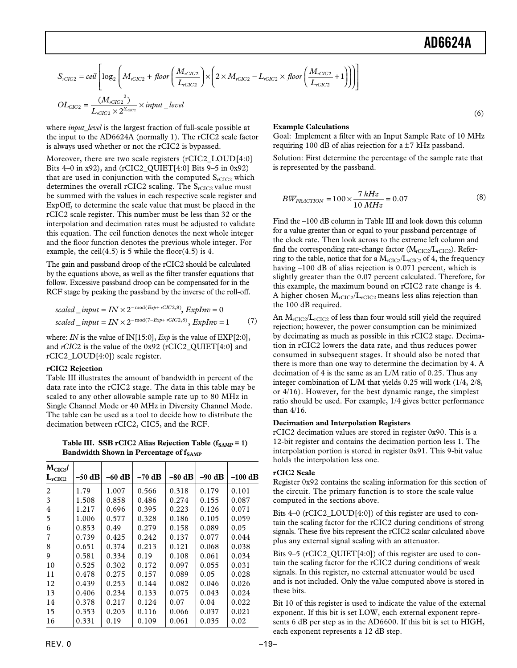(6)

<span id="page-18-0"></span>
$$
S_{rClC2} = ceil \left[ \log_2 \left( M_{rClC2} + floor \left( \frac{M_{rClC2}}{L_{rClC2}} \right) \times \left( 2 \times M_{rClC2} - L_{rClC2} \times floor \left( \frac{M_{rClC2}}{L_{rClC2}} + 1 \right) \right) \right) \right]
$$
  

$$
OL_{CIC2} = \frac{(M_{rClC2}^2)}{L_{rClC2} \times 2^{S_{rClC2}}} \times input\_level
$$

where *input\_level* is the largest fraction of full-scale possible at the input to the AD6624A (normally 1). The rCIC2 scale factor is always used whether or not the rCIC2 is bypassed.

Moreover, there are two scale registers (rCIC2\_LOUD[4:0] Bits 4–0 in x92), and (rCIC2\_QUIET[4:0] Bits 9–5 in 0x92) that are used in conjunction with the computed  $S_{rClC2}$  which determines the overall rCIC2 scaling. The  $S_{rClC2}$  value must be summed with the values in each respective scale register and ExpOff, to determine the scale value that must be placed in the rCIC2 scale register. This number must be less than 32 or the interpolation and decimation rates must be adjusted to validate this equation. The ceil function denotes the next whole integer and the floor function denotes the previous whole integer. For example, the ceil $(4.5)$  is 5 while the floor $(4.5)$  is 4.

The gain and passband droop of the rCIC2 should be calculated by the equations above, as well as the filter transfer equations that follow. Excessive passband droop can be compensated for in the RCF stage by peaking the passband by the inverse of the roll-off.

$$
scaled\_input = IN \times 2^{-\text{mod}(Exp + rClC2,8)}, ExpInv = 0
$$
\n
$$
scaled\_input = IN \times 2^{-\text{mod}(7-Exp + rClC2,8)}, ExpInv = 1
$$
\n<sup>(7)</sup>

where: *IN* is the value of IN[15:0], *Exp* is the value of EXP[2:0], and *rCIC*2 is the value of the 0x92 (rCIC2\_QUIET[4:0] and rCIC2\_LOUD[4:0]) scale register.

### **rCIC2 Rejection**

Table III illustrates the amount of bandwidth in percent of the data rate into the rCIC2 stage. The data in this table may be scaled to any other allowable sample rate up to 80 MHz in Single Channel Mode or 40 MHz in Diversity Channel Mode. The table can be used as a tool to decide how to distribute the decimation between rCIC2, CIC5, and the RCF.

Table III. SSB rCIC2 Alias Rejection Table (f<sub>SAMP</sub> = 1) **Bandwidth Shown in Percentage of fSAMP** 

| $M_{CIC5}$<br>$L_{rClC2}$ | $-50$ dB | $-60$ dB | $-70$ dB | $-80$ dB | $-90$ dB | $-100$ dB |
|---------------------------|----------|----------|----------|----------|----------|-----------|
| 2                         | 1.79     | 1.007    | 0.566    | 0.318    | 0.179    | 0.101     |
| 3                         | 1.508    | 0.858    | 0.486    | 0.274    | 0.155    | 0.087     |
| 4                         | 1.217    | 0.696    | 0.395    | 0.223    | 0.126    | 0.071     |
| 5                         | 1.006    | 0.577    | 0.328    | 0.186    | 0.105    | 0.059     |
| 6                         | 0.853    | 0.49     | 0.279    | 0.158    | 0.089    | 0.05      |
| 7                         | 0.739    | 0.425    | 0.242    | 0.137    | 0.077    | 0.044     |
| 8                         | 0.651    | 0.374    | 0.213    | 0.121    | 0.068    | 0.038     |
| 9                         | 0.581    | 0.334    | 0.19     | 0.108    | 0.061    | 0.034     |
| 10                        | 0.525    | 0.302    | 0.172    | 0.097    | 0.055    | 0.031     |
| 11                        | 0.478    | 0.275    | 0.157    | 0.089    | 0.05     | 0.028     |
| 12                        | 0.439    | 0.253    | 0.144    | 0.082    | 0.046    | 0.026     |
| 13                        | 0.406    | 0.234    | 0.133    | 0.075    | 0.043    | 0.024     |
| 14                        | 0.378    | 0.217    | 0.124    | 0.07     | 0.04     | 0.022     |
| 15                        | 0.353    | 0.203    | 0.116    | 0.066    | 0.037    | 0.021     |
| 16                        | 0.331    | 0.19     | 0.109    | 0.061    | 0.035    | 0.02      |

# **Example Calculations**

Goal: Implement a filter with an Input Sample Rate of 10 MHz requiring 100 dB of alias rejection for  $a \pm 7$  kHz passband.

Solution: First determine the percentage of the sample rate that is represented by the passband.

$$
BW_{FRACTION} = 100 \times \frac{7 \, kHz}{10 \, MHz} = 0.07 \tag{8}
$$

Find the –100 dB column in Table III and look down this column for a value greater than or equal to your passband percentage of the clock rate. Then look across to the extreme left column and find the corresponding rate-change factor  $(M_{rCIC2}/L_{rCIC2})$ . Referring to the table, notice that for a  $M_{rCIC2}/L_{rCIC2}$  of 4, the frequency having –100 dB of alias rejection is 0.071 percent, which is slightly greater than the 0.07 percent calculated. Therefore, for this example, the maximum bound on rCIC2 rate change is 4. A higher chosen  $M_{rCIC2}/L_{rCIC2}$  means less alias rejection than the 100 dB required.

An  $M_{rClC2}/L_{rClC2}$  of less than four would still yield the required rejection; however, the power consumption can be minimized by decimating as much as possible in this rCIC2 stage. Decimation in rCIC2 lowers the data rate, and thus reduces power consumed in subsequent stages. It should also be noted that there is more than one way to determine the decimation by 4. A decimation of 4 is the same as an L/M ratio of 0.25. Thus any integer combination of L/M that yields 0.25 will work (1/4, 2/8, or 4/16). However, for the best dynamic range, the simplest ratio should be used. For example, 1/4 gives better performance than 4/16.

### **Decimation and Interpolation Registers**

rCIC2 decimation values are stored in register 0x90. This is a 12-bit register and contains the decimation portion less 1. The interpolation portion is stored in register 0x91. This 9-bit value holds the interpolation less one.

# **rCIC2 Scale**

Register 0x92 contains the scaling information for this section of the circuit. The primary function is to store the scale value computed in the sections above.

Bits 4–0 (rCIC2\_LOUD[4:0]) of this register are used to contain the scaling factor for the rCIC2 during conditions of strong signals. These five bits represent the rCIC2 scalar calculated above plus any external signal scaling with an attenuator.

Bits 9–5 (rCIC2\_QUIET[4:0]) of this register are used to contain the scaling factor for the rCIC2 during conditions of weak signals. In this register, no external attenuator would be used and is not included. Only the value computed above is stored in these bits.

Bit 10 of this register is used to indicate the value of the external exponent. If this bit is set LOW, each external exponent represents 6 dB per step as in the AD6600. If this bit is set to HIGH, each exponent represents a 12 dB step.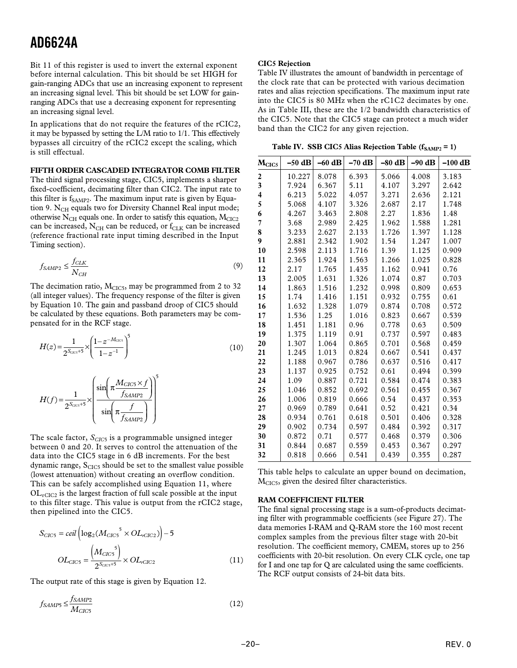<span id="page-19-0"></span>Bit 11 of this register is used to invert the external exponent before internal calculation. This bit should be set HIGH for gain-ranging ADCs that use an increasing exponent to represent an increasing signal level. This bit should be set LOW for gainranging ADCs that use a decreasing exponent for representing an increasing signal level.

In applications that do not require the features of the rCIC2, it may be bypassed by setting the L/M ratio to 1/1. This effectively bypasses all circuitry of the rCIC2 except the scaling, which is still effectual.

#### **FIFTH ORDER CASCADED INTEGRATOR COMB FILTER**

The third signal processing stage, CIC5, implements a sharper fixed-coefficient, decimating filter than CIC2. The input rate to this filter is  $f_{SAMP2}$ . The maximum input rate is given by Equation 9. N<sub>CH</sub> equals two for Diversity Channel Real input mode; otherwise  $N_{CH}$  equals one. In order to satisfy this equation,  $M_{CIC2}$ can be increased,  $N_{CH}$  can be reduced, or  $f_{CLK}$  can be increased (reference fractional rate input timing described in the Input Timing section).

$$
f_{SAMP2} \le \frac{f_{CLK}}{N_{CH}}
$$
 (9)

The decimation ratio,  $M<sub>CIC5</sub>$ , may be programmed from 2 to 32 (all integer values). The frequency response of the filter is given by Equation 10. The gain and passband droop of CIC5 should be calculated by these equations. Both parameters may be compensated for in the RCF stage.

$$
H(z) = \frac{1}{2^{S_{\text{CCs}}+5}} \times \left(\frac{1-z^{-M_{\text{CCs}}}}{1-z^{-1}}\right)^5
$$
\n(10)

$$
H(f) = \frac{1}{2^{S_{CC5}+5}} \times \left( \frac{\sin \left( \pi \frac{M_{CIC5} \times f}{f_{SAMP2}} \right)}{\sin \left( \pi \frac{f}{f_{SAMP2}} \right)} \right)^5
$$

The scale factor,  $S<sub>CIC5</sub>$  is a programmable unsigned integer between 0 and 20. It serves to control the attenuation of the data into the CIC5 stage in 6 dB increments. For the best dynamic range,  $S<sub>CIC5</sub>$  should be set to the smallest value possible (lowest attenuation) without creating an overflow condition. This can be safely accomplished using Equation 11, where  $OL<sub>rCIC2</sub>$  is the largest fraction of full scale possible at the input to this filter stage. This value is output from the rCIC2 stage, then pipelined into the CIC5.

$$
S_{CIC5} = ceil \left( \log_2(M_{CIC5}^{5} \times OL_{rClC2}) \right) - 5
$$

$$
OL_{CIC5} = \frac{\left( M_{CIC5}^{5} \right)}{2^{S_{CIC5} + 5}} \times OL_{rClC2}
$$
(11)

The output rate of this stage is given by Equation 12.

$$
f_{SAMP5} \le \frac{f_{SAMP2}}{M_{CIC5}}\tag{12}
$$

### **CIC5 Rejection**

Table IV illustrates the amount of bandwidth in percentage of the clock rate that can be protected with various decimation rates and alias rejection specifications. The maximum input rate into the CIC5 is 80 MHz when the rC1C2 decimates by one. As in Table III, these are the 1/2 bandwidth characteristics of the CIC5. Note that the CIC5 stage can protect a much wider band than the CIC2 for any given rejection.

Table IV. SSB CIC5 Alias Rejection Table  $(f_{SAMP2} = 1)$ 

| $M_{CIC5}$ | $-50$ dB | $-60$ dB | $-70$ dB | $-80$ dB | $-90$ dB | $-100$ dB |
|------------|----------|----------|----------|----------|----------|-----------|
| 2          | 10.227   | 8.078    | 6.393    | 5.066    | 4.008    | 3.183     |
| 3          | 7.924    | 6.367    | 5.11     | 4.107    | 3.297    | 2.642     |
| 4          | 6.213    | 5.022    | 4.057    | 3.271    | 2.636    | 2.121     |
| 5          | 5.068    | 4.107    | 3.326    | 2.687    | 2.17     | 1.748     |
| 6          | 4.267    | 3.463    | 2.808    | 2.27     | 1.836    | 1.48      |
| 7          | 3.68     | 2.989    | 2.425    | 1.962    | 1.588    | 1.281     |
| 8          | 3.233    | 2.627    | 2.133    | 1.726    | 1.397    | 1.128     |
| 9          | 2.881    | 2.342    | 1.902    | 1.54     | 1.247    | 1.007     |
| 10         | 2.598    | 2.113    | 1.716    | 1.39     | 1.125    | 0.909     |
| 11         | 2.365    | 1.924    | 1.563    | 1.266    | 1.025    | 0.828     |
| 12         | 2.17     | 1.765    | 1.435    | 1.162    | 0.941    | 0.76      |
| 13         | 2.005    | 1.631    | 1.326    | 1.074    | 0.87     | 0.703     |
| 14         | 1.863    | 1.516    | 1.232    | 0.998    | 0.809    | 0.653     |
| 15         | 1.74     | 1.416    | 1.151    | 0.932    | 0.755    | 0.61      |
| 16         | 1.632    | 1.328    | 1.079    | 0.874    | 0.708    | 0.572     |
| 17         | 1.536    | 1.25     | 1.016    | 0.823    | 0.667    | 0.539     |
| 18         | 1.451    | 1.181    | 0.96     | 0.778    | 0.63     | 0.509     |
| 19         | 1.375    | 1.119    | 0.91     | 0.737    | 0.597    | 0.483     |
| 20         | 1.307    | 1.064    | 0.865    | 0.701    | 0.568    | 0.459     |
| 21         | 1.245    | 1.013    | 0.824    | 0.667    | 0.541    | 0.437     |
| 22         | 1.188    | 0.967    | 0.786    | 0.637    | 0.516    | 0.417     |
| 23         | 1.137    | 0.925    | 0.752    | 0.61     | 0.494    | 0.399     |
| 24         | 1.09     | 0.887    | 0.721    | 0.584    | 0.474    | 0.383     |
| 25         | 1.046    | 0.852    | 0.692    | 0.561    | 0.455    | 0.367     |
| 26         | 1.006    | 0.819    | 0.666    | 0.54     | 0.437    | 0.353     |
| 27         | 0.969    | 0.789    | 0.641    | 0.52     | 0.421    | 0.34      |
| 28         | 0.934    | 0.761    | 0.618    | 0.501    | 0.406    | 0.328     |
| 29         | 0.902    | 0.734    | 0.597    | 0.484    | 0.392    | 0.317     |
| 30         | 0.872    | 0.71     | 0.577    | 0.468    | 0.379    | 0.306     |
| 31         | 0.844    | 0.687    | 0.559    | 0.453    | 0.367    | 0.297     |
| 32         | 0.818    | 0.666    | 0.541    | 0.439    | 0.355    | 0.287     |

This table helps to calculate an upper bound on decimation, M<sub>CIC5</sub>, given the desired filter characteristics.

#### **RAM COEFFICIENT FILTER**

The final signal processing stage is a sum-of-products decimating filter with programmable coefficients (see Figure 27). The data memories I-RAM and Q-RAM store the 160 most recent complex samples from the previous filter stage with 20-bit resolution. The coefficient memory, CMEM, stores up to 256 coefficients with 20-bit resolution. On every CLK cycle, one tap for I and one tap for Q are calculated using the same coefficients. The RCF output consists of 24-bit data bits.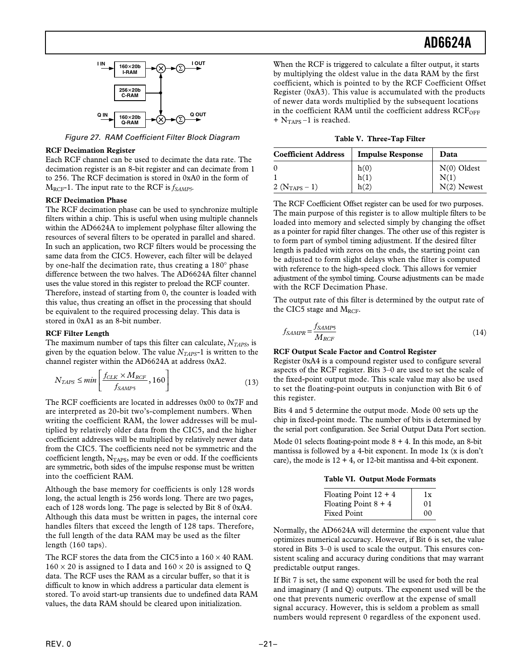<span id="page-20-0"></span>

Figure 27. RAM Coefficient Filter Block Diagram

#### **RCF Decimation Register**

Each RCF channel can be used to decimate the data rate. The decimation register is an 8-bit register and can decimate from 1 to 256. The RCF decimation is stored in 0xA0 in the form of  $M_{RCF}$ -1. The input rate to the RCF is  $f_{SAMP}$ .

### **RCF Decimation Phase**

The RCF decimation phase can be used to synchronize multiple filters within a chip. This is useful when using multiple channels within the AD6624A to implement polyphase filter allowing the resources of several filters to be operated in parallel and shared. In such an application, two RCF filters would be processing the same data from the CIC5. However, each filter will be delayed by one-half the decimation rate, thus creating a 180° phase difference between the two halves. The AD6624A filter channel uses the value stored in this register to preload the RCF counter. Therefore, instead of starting from 0, the counter is loaded with this value, thus creating an offset in the processing that should be equivalent to the required processing delay. This data is stored in 0xA1 as an 8-bit number.

#### **RCF Filter Length**

The maximum number of taps this filter can calculate,  $N_{TAPS}$ , is given by the equation below. The value *NTAPS*-1 is written to the channel register within the AD6624A at address 0xA2.

$$
N_{TAPS} \le \min\left[\frac{f_{CLK} \times M_{RCF}}{f_{SAMP5}}, 160\right]
$$
\n(13)

The RCF coefficients are located in addresses 0x00 to 0x7F and are interpreted as 20-bit two's-complement numbers. When writing the coefficient RAM, the lower addresses will be multiplied by relatively older data from the CIC5, and the higher coefficient addresses will be multiplied by relatively newer data from the CIC5. The coefficients need not be symmetric and the coefficient length,  $N<sub>TAPS</sub>$ , may be even or odd. If the coefficients are symmetric, both sides of the impulse response must be written into the coefficient RAM.

Although the base memory for coefficients is only 128 words long, the actual length is 256 words long. There are two pages, each of 128 words long. The page is selected by Bit 8 of 0xA4. Although this data must be written in pages, the internal core handles filters that exceed the length of 128 taps. Therefore, the full length of the data RAM may be used as the filter length (160 taps).

The RCF stores the data from the CIC5 into a 160 × 40 RAM.  $160 \times 20$  is assigned to I data and  $160 \times 20$  is assigned to Q data. The RCF uses the RAM as a circular buffer, so that it is difficult to know in which address a particular data element is stored. To avoid start-up transients due to undefined data RAM values, the data RAM should be cleared upon initialization.

When the RCF is triggered to calculate a filter output, it starts by multiplying the oldest value in the data RAM by the first coefficient, which is pointed to by the RCF Coefficient Offset Register (0xA3). This value is accumulated with the products of newer data words multiplied by the subsequent locations in the coefficient RAM until the coefficient address  $RCF_{OFF}$  $+$  N<sub>TAPS</sub> $-1$  is reached.

**Table V. Three-Tap Filter**

| <b>Coefficient Address</b> | <b>Impulse Response</b> | Data          |
|----------------------------|-------------------------|---------------|
| $\Omega$                   | h(0)                    | $N(0)$ Oldest |
|                            | h(1)                    | N(1)          |
| 2 ( $N_{TAPS} - 1$ )       | h(2)                    | $N(2)$ Newest |

The RCF Coefficient Offset register can be used for two purposes. The main purpose of this register is to allow multiple filters to be loaded into memory and selected simply by changing the offset as a pointer for rapid filter changes. The other use of this register is to form part of symbol timing adjustment. If the desired filter length is padded with zeros on the ends, the starting point can be adjusted to form slight delays when the filter is computed with reference to the high-speed clock. This allows for vernier adjustment of the symbol timing. Course adjustments can be made with the RCF Decimation Phase.

The output rate of this filter is determined by the output rate of the CIC5 stage and  $M_{RCF}$ .

$$
f_{SAMPR} = \frac{f_{SAMP5}}{M_{RCF}}\tag{14}
$$

### **RCF Output Scale Factor and Control Register**

Register 0xA4 is a compound register used to configure several aspects of the RCF register. Bits 3–0 are used to set the scale of the fixed-point output mode. This scale value may also be used to set the floating-point outputs in conjunction with Bit 6 of this register.

Bits 4 and 5 determine the output mode. Mode 00 sets up the chip in fixed-point mode. The number of bits is determined by the serial port configuration. See Serial Output Data Port section.

Mode 01 selects floating-point mode  $8 + 4$ . In this mode, an 8-bit mantissa is followed by a 4-bit exponent. In mode 1x (x is don't care), the mode is  $12 + 4$ , or 12-bit mantissa and 4-bit exponent.

|  | Table VI. Output Mode Formats |  |
|--|-------------------------------|--|
|--|-------------------------------|--|

| Floating Point $12 + 4$ | $\mathbf{R}$ |
|-------------------------|--------------|
| Floating Point $8 + 4$  | 01           |
| <b>Fixed Point</b>      | 00           |

Normally, the AD6624A will determine the exponent value that optimizes numerical accuracy. However, if Bit 6 is set, the value stored in Bits 3–0 is used to scale the output. This ensures consistent scaling and accuracy during conditions that may warrant predictable output ranges.

If Bit 7 is set, the same exponent will be used for both the real and imaginary (I and Q) outputs. The exponent used will be the one that prevents numeric overflow at the expense of small signal accuracy. However, this is seldom a problem as small numbers would represent 0 regardless of the exponent used.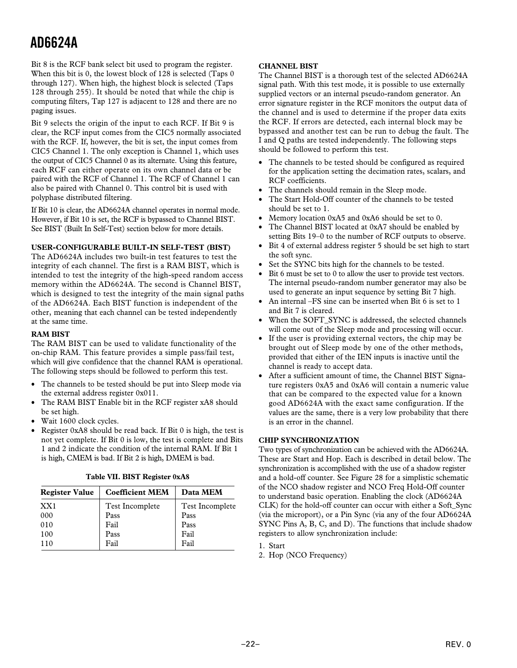<span id="page-21-0"></span>Bit 8 is the RCF bank select bit used to program the register. When this bit is 0, the lowest block of 128 is selected (Taps 0) through 127). When high, the highest block is selected (Taps 128 through 255). It should be noted that while the chip is computing filters, Tap 127 is adjacent to 128 and there are no paging issues.

Bit 9 selects the origin of the input to each RCF. If Bit 9 is clear, the RCF input comes from the CIC5 normally associated with the RCF. If, however, the bit is set, the input comes from CIC5 Channel 1. The only exception is Channel 1, which uses the output of CIC5 Channel 0 as its alternate. Using this feature, each RCF can either operate on its own channel data or be paired with the RCF of Channel 1. The RCF of Channel 1 can also be paired with Channel 0. This control bit is used with polyphase distributed filtering.

If Bit 10 is clear, the AD6624A channel operates in normal mode. However, if Bit 10 is set, the RCF is bypassed to Channel BIST. See BIST (Built In Self-Test) section below for more details.

### **USER-CONFIGURABLE BUILT-IN SELF-TEST (BIST)**

The AD6624A includes two built-in test features to test the integrity of each channel. The first is a RAM BIST, which is intended to test the integrity of the high-speed random access memory within the AD6624A. The second is Channel BIST, which is designed to test the integrity of the main signal paths of the AD6624A. Each BIST function is independent of the other, meaning that each channel can be tested independently at the same time.

### **RAM BIST**

The RAM BIST can be used to validate functionality of the on-chip RAM. This feature provides a simple pass/fail test, which will give confidence that the channel RAM is operational. The following steps should be followed to perform this test.

- The channels to be tested should be put into Sleep mode via the external address register 0x011.
- The RAM BIST Enable bit in the RCF register xA8 should be set high.
- Wait 1600 clock cycles.
- Register 0xA8 should be read back. If Bit 0 is high, the test is not yet complete. If Bit 0 is low, the test is complete and Bits 1 and 2 indicate the condition of the internal RAM. If Bit 1 is high, CMEM is bad. If Bit 2 is high, DMEM is bad.

| <b>Register Value</b> | <b>Coefficient MEM</b> | Data MEM        |
|-----------------------|------------------------|-----------------|
| XX <sub>1</sub>       | <b>Test Incomplete</b> | Test Incomplete |
| 000                   | Pass                   | Pass            |
| 010                   | Fail                   | Pass            |
| 100                   | Pass                   | Fail            |
| 110                   | Fail                   | Fail            |

# **Table VII. BIST Register 0xA8**

### **CHANNEL BIST**

The Channel BIST is a thorough test of the selected AD6624A signal path. With this test mode, it is possible to use externally supplied vectors or an internal pseudo-random generator. An error signature register in the RCF monitors the output data of the channel and is used to determine if the proper data exits the RCF. If errors are detected, each internal block may be bypassed and another test can be run to debug the fault. The I and Q paths are tested independently. The following steps should be followed to perform this test.

- The channels to be tested should be configured as required for the application setting the decimation rates, scalars, and RCF coefficients.
- The channels should remain in the Sleep mode.
- The Start Hold-Off counter of the channels to be tested should be set to 1.
- Memory location 0xA5 and 0xA6 should be set to 0.
- The Channel BIST located at 0xA7 should be enabled by setting Bits 19–0 to the number of RCF outputs to observe.
- Bit 4 of external address register 5 should be set high to start the soft sync.
- Set the SYNC bits high for the channels to be tested.
- Bit 6 must be set to 0 to allow the user to provide test vectors. The internal pseudo-random number generator may also be used to generate an input sequence by setting Bit 7 high.
- An internal –FS sine can be inserted when Bit 6 is set to 1 and Bit 7 is cleared.
- When the SOFT\_SYNC is addressed, the selected channels will come out of the Sleep mode and processing will occur.
- If the user is providing external vectors, the chip may be brought out of Sleep mode by one of the other methods, provided that either of the IEN inputs is inactive until the channel is ready to accept data.
- After a sufficient amount of time, the Channel BIST Signature registers 0xA5 and 0xA6 will contain a numeric value that can be compared to the expected value for a known good AD6624A with the exact same configuration. If the values are the same, there is a very low probability that there is an error in the channel.

# **CHIP SYNCHRONIZATION**

Two types of synchronization can be achieved with the AD6624A. These are Start and Hop. Each is described in detail below. The synchronization is accomplished with the use of a shadow register and a hold-off counter. See Figure 28 for a simplistic schematic of the NCO shadow register and NCO Freq Hold-Off counter to understand basic operation. Enabling the clock (AD6624A CLK) for the hold-off counter can occur with either a Soft\_Sync (via the microport), or a Pin Sync (via any of the four AD6624A SYNC Pins A, B, C, and D). The functions that include shadow registers to allow synchronization include:

1. Start

2. Hop (NCO Frequency)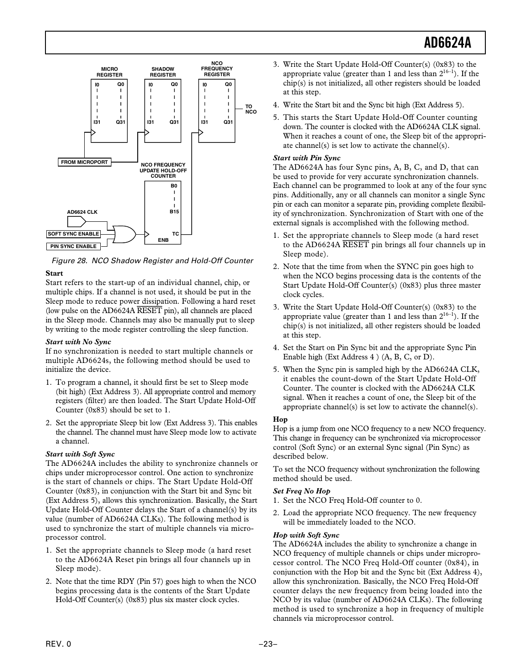<span id="page-22-0"></span>

Figure 28. NCO Shadow Register and Hold-Off Counter

# **Start**

Start refers to the start-up of an individual channel, chip, or multiple chips. If a channel is not used, it should be put in the Sleep mode to reduce power dissipation. Following a hard reset (low pulse on the AD6624A *RESET* pin), all channels are placed in the Sleep mode. Channels may also be manually put to sleep by writing to the mode register controlling the sleep function.

# *Start with No Sync*

If no synchronization is needed to start multiple channels or multiple AD6624s, the following method should be used to initialize the device.

- 1. To program a channel, it should first be set to Sleep mode (bit high) (Ext Address 3). All appropriate control and memory registers (filter) are then loaded. The Start Update Hold-Off Counter (0x83) should be set to 1.
- 2. Set the appropriate Sleep bit low (Ext Address 3). This enables the channel. The channel must have Sleep mode low to activate a channel.

# *Start with Soft Sync*

The AD6624A includes the ability to synchronize channels or chips under microprocessor control. One action to synchronize is the start of channels or chips. The Start Update Hold-Off Counter (0x83), in conjunction with the Start bit and Sync bit (Ext Address 5), allows this synchronization. Basically, the Start Update Hold-Off Counter delays the Start of a channel(s) by its value (number of AD6624A CLKs). The following method is used to synchronize the start of multiple channels via microprocessor control.

- 1. Set the appropriate channels to Sleep mode (a hard reset to the AD6624A Reset pin brings all four channels up in Sleep mode).
- 2. Note that the time RDY (Pin 57) goes high to when the NCO begins processing data is the contents of the Start Update Hold-Off Counter(s) (0x83) plus six master clock cycles.
- 3. Write the Start Update Hold-Off Counter(s) (0x83) to the appropriate value (greater than 1 and less than  $2^{16-1}$ ). If the chip(s) is not initialized, all other registers should be loaded at this step.
- 4. Write the Start bit and the Sync bit high (Ext Address 5).
- 5. This starts the Start Update Hold-Off Counter counting down. The counter is clocked with the AD6624A CLK signal. When it reaches a count of one, the Sleep bit of the appropriate channel(s) is set low to activate the channel(s).

# *Start with Pin Sync*

The AD6624A has four Sync pins, A, B, C, and D, that can be used to provide for very accurate synchronization channels. Each channel can be programmed to look at any of the four sync pins. Additionally, any or all channels can monitor a single Sync pin or each can monitor a separate pin, providing complete flexibility of synchronization. Synchronization of Start with one of the external signals is accomplished with the following method.

- 1. Set the appropriate channels to Sleep mode (a hard reset to the AD6624A *RESET* pin brings all four channels up in Sleep mode).
- 2. Note that the time from when the SYNC pin goes high to when the NCO begins processing data is the contents of the Start Update Hold-Off Counter(s) (0x83) plus three master clock cycles.
- 3. Write the Start Update Hold-Off Counter(s) (0x83) to the appropriate value (greater than 1 and less than  $2^{16-1}$ ). If the chip(s) is not initialized, all other registers should be loaded at this step.
- 4. Set the Start on Pin Sync bit and the appropriate Sync Pin Enable high (Ext Address 4 ) (A, B, C, or D).
- 5. When the Sync pin is sampled high by the AD6624A CLK, it enables the count-down of the Start Update Hold-Off Counter. The counter is clocked with the AD6624A CLK signal. When it reaches a count of one, the Sleep bit of the appropriate channel(s) is set low to activate the channel(s).

# **Hop**

Hop is a jump from one NCO frequency to a new NCO frequency. This change in frequency can be synchronized via microprocessor control (Soft Sync) or an external Sync signal (Pin Sync) as described below.

To set the NCO frequency without synchronization the following method should be used.

# *Set Freq No Hop*

- 1. Set the NCO Freq Hold-Off counter to 0.
- 2. Load the appropriate NCO frequency. The new frequency will be immediately loaded to the NCO.

# *Hop with Soft Sync*

The AD6624A includes the ability to synchronize a change in NCO frequency of multiple channels or chips under microprocessor control. The NCO Freq Hold-Off counter (0x84), in conjunction with the Hop bit and the Sync bit (Ext Address 4), allow this synchronization. Basically, the NCO Freq Hold-Off counter delays the new frequency from being loaded into the NCO by its value (number of AD6624A CLKs). The following method is used to synchronize a hop in frequency of multiple channels via microprocessor control.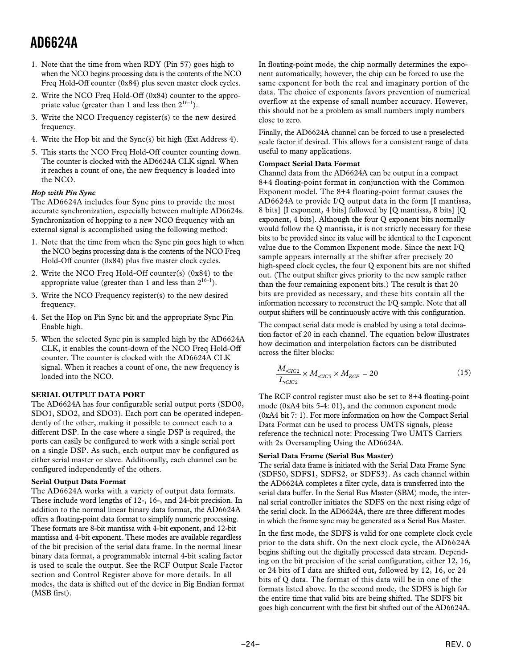- <span id="page-23-0"></span>1. Note that the time from when RDY (Pin 57) goes high to when the NCO begins processing data is the contents of the NCO Freq Hold-Off counter (0x84) plus seven master clock cycles.
- 2. Write the NCO Freq Hold-Off (0x84) counter to the appropriate value (greater than 1 and less then  $2^{16-1}$ ).
- 3. Write the NCO Frequency register(s) to the new desired frequency.
- 4. Write the Hop bit and the Sync(s) bit high (Ext Address 4).
- 5. This starts the NCO Freq Hold-Off counter counting down. The counter is clocked with the AD6624A CLK signal. When it reaches a count of one, the new frequency is loaded into the NCO.

# *Hop with Pin Sync*

The AD6624A includes four Sync pins to provide the most accurate synchronization, especially between multiple AD6624s. Synchronization of hopping to a new NCO frequency with an external signal is accomplished using the following method:

- 1. Note that the time from when the Sync pin goes high to when the NCO begins processing data is the contents of the NCO Freq Hold-Off counter (0x84) plus five master clock cycles.
- 2. Write the NCO Freq Hold-Off counter(s) (0x84) to the appropriate value (greater than 1 and less than  $2^{16-1}$ ).
- 3. Write the NCO Frequency register(s) to the new desired frequency.
- 4. Set the Hop on Pin Sync bit and the appropriate Sync Pin Enable high.
- 5. When the selected Sync pin is sampled high by the AD6624A CLK, it enables the count-down of the NCO Freq Hold-Off counter. The counter is clocked with the AD6624A CLK signal. When it reaches a count of one, the new frequency is loaded into the NCO.

# **SERIAL OUTPUT DATA PORT**

The AD6624A has four configurable serial output ports (SDO0, SDO1, SDO2, and SDO3). Each port can be operated independently of the other, making it possible to connect each to a different DSP. In the case where a single DSP is required, the ports can easily be configured to work with a single serial port on a single DSP. As such, each output may be configured as either serial master or slave. Additionally, each channel can be configured independently of the others.

# **Serial Output Data Format**

The AD6624A works with a variety of output data formats. These include word lengths of 12-, 16-, and 24-bit precision. In addition to the normal linear binary data format, the AD6624A offers a floating-point data format to simplify numeric processing. These formats are 8-bit mantissa with 4-bit exponent, and 12-bit mantissa and 4-bit exponent. These modes are available regardless of the bit precision of the serial data frame. In the normal linear binary data format, a programmable internal 4-bit scaling factor is used to scale the output. See the RCF Output Scale Factor section and Control Register above for more details. In all modes, the data is shifted out of the device in Big Endian format (MSB first).

In floating-point mode, the chip normally determines the exponent automatically; however, the chip can be forced to use the same exponent for both the real and imaginary portion of the data. The choice of exponents favors prevention of numerical overflow at the expense of small number accuracy. However, this should not be a problem as small numbers imply numbers close to zero.

Finally, the AD6624A channel can be forced to use a preselected scale factor if desired. This allows for a consistent range of data useful to many applications.

### **Compact Serial Data Format**

Channel data from the AD6624A can be output in a compact 8+4 floating-point format in conjunction with the Common Exponent model. The 8+4 floating-point format causes the AD6624A to provide I/Q output data in the form [I mantissa, 8 bits] [I exponent, 4 bits] followed by [Q mantissa, 8 bits] [Q exponent, 4 bits]. Although the four Q exponent bits normally would follow the Q mantissa, it is not strictly necessary for these bits to be provided since its value will be identical to the I exponent value due to the Common Exponent mode. Since the next I/Q sample appears internally at the shifter after precisely 20 high-speed clock cycles, the four Q exponent bits are not shifted out. (The output shifter gives priority to the new sample rather than the four remaining exponent bits.) The result is that 20 bits are provided as necessary, and these bits contain all the information necessary to reconstruct the I/Q sample. Note that all output shifters will be continuously active with this configuration.

The compact serial data mode is enabled by using a total decimation factor of 20 in each channel. The equation below illustrates how decimation and interpolation factors can be distributed across the filter blocks:

$$
\frac{M_{rClC2}}{L_{rClC2}} \times M_{rClC5} \times M_{RCF} = 20\tag{15}
$$

The RCF control register must also be set to 8+4 floating-point mode (0xA4 bits 5-4: 01), and the common exponent mode (0xA4 bit 7: 1). For more information on how the Compact Serial Data Format can be used to process UMTS signals, please reference the technical note: Processing Two UMTS Carriers with 2x Oversampling Using the AD6624A.

# **Serial Data Frame (Serial Bus Master)**

The serial data frame is initiated with the Serial Data Frame Sync (SDFS0, SDFS1, SDFS2, or SDFS3). As each channel within the AD6624A completes a filter cycle, data is transferred into the serial data buffer. In the Serial Bus Master (SBM) mode, the internal serial controller initiates the SDFS on the next rising edge of the serial clock. In the AD6624A, there are three different modes in which the frame sync may be generated as a Serial Bus Master.

In the first mode, the SDFS is valid for one complete clock cycle prior to the data shift. On the next clock cycle, the AD6624A begins shifting out the digitally processed data stream. Depending on the bit precision of the serial configuration, either 12, 16, or 24 bits of I data are shifted out, followed by 12, 16, or 24 bits of Q data. The format of this data will be in one of the formats listed above. In the second mode, the SDFS is high for the entire time that valid bits are being shifted. The SDFS bit goes high concurrent with the first bit shifted out of the AD6624A.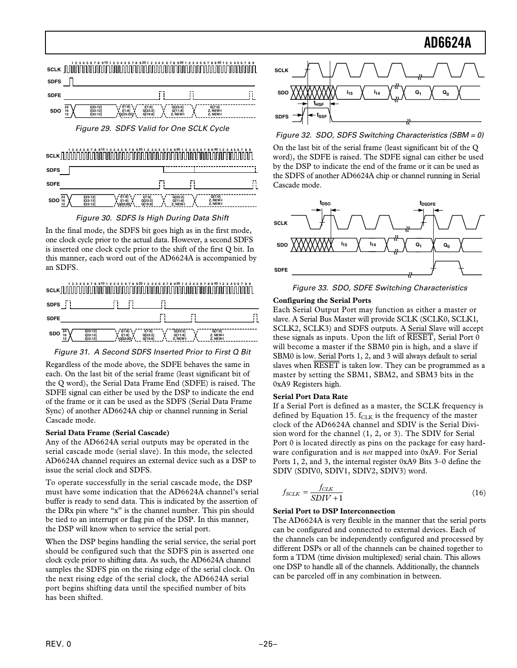<span id="page-24-0"></span>



Figure 30. SDFS Is High During Data Shift

In the final mode, the SDFS bit goes high as in the first mode, one clock cycle prior to the actual data. However, a second SDFS is inserted one clock cycle prior to the shift of the first Q bit. In this manner, each word out of the AD6624A is accompanied by an SDFS.



Figure 31. A Second SDFS Inserted Prior to First Q Bit

Regardless of the mode above, the SDFE behaves the same in each. On the last bit of the serial frame (least significant bit of the Q word), the Serial Data Frame End (SDFE) is raised. The SDFE signal can either be used by the DSP to indicate the end of the frame or it can be used as the SDFS (Serial Data Frame Sync) of another AD6624A chip or channel running in Serial Cascade mode.

# **Serial Data Frame (Serial Cascade)**

Any of the AD6624A serial outputs may be operated in the serial cascade mode (serial slave). In this mode, the selected AD6624A channel requires an external device such as a DSP to issue the serial clock and SDFS.

To operate successfully in the serial cascade mode, the DSP must have some indication that the AD6624A channel's serial buffer is ready to send data. This is indicated by the assertion of the DRx pin where "x" is the channel number. This pin should be tied to an interrupt or flag pin of the DSP. In this manner, the DSP will know when to service the serial port.

When the DSP begins handling the serial service, the serial port should be configured such that the SDFS pin is asserted one clock cycle prior to shifting data. As such, the AD6624A channel samples the SDFS pin on the rising edge of the serial clock. On the next rising edge of the serial clock, the AD6624A serial port begins shifting data until the specified number of bits has been shifted.



Figure 32. SDO, SDFS Switching Characteristics (SBM = 0)

On the last bit of the serial frame (least significant bit of the Q word), the SDFE is raised. The SDFE signal can either be used by the DSP to indicate the end of the frame or it can be used as the SDFS of another AD6624A chip or channel running in Serial Cascade mode.



Figure 33. SDO, SDFE Switching Characteristics

# **Configuring the Serial Ports**

Each Serial Output Port may function as either a master or slave. A Serial Bus Master will provide SCLK (SCLK0, SCLK1, SCLK2, SCLK3) and SDFS outputs. A Serial Slave will accept these signals as inputs. Upon the lift of *RESET*, Serial Port 0 will become a master if the SBM0 pin is high, and a slave if SBM0 is low. Serial Ports 1, 2, and 3 will always default to serial slaves when *RESET* is taken low. They can be programmed as a master by setting the SBM1, SBM2, and SBM3 bits in the 0xA9 Registers high.

# **Serial Port Data Rate**

If a Serial Port is defined as a master, the SCLK frequency is defined by Equation 15.  $f_{CLK}$  is the frequency of the master clock of the AD6624A channel and SDIV is the Serial Division word for the channel (1, 2, or 3). The SDIV for Serial Port 0 is located directly as pins on the package for easy hardware configuration and is *not* mapped into 0xA9. For Serial Ports 1, 2, and 3, the internal register 0xA9 Bits 3–0 define the SDIV (SDIV0, SDIV1, SDIV2, SDIV3) word.

$$
f_{SCLK} = \frac{f_{CLK}}{SDIV + 1}
$$
 (16)

# **Serial Port to DSP Interconnection**

The AD6624A is very flexible in the manner that the serial ports can be configured and connected to external devices. Each of the channels can be independently configured and processed by different DSPs or all of the channels can be chained together to form a TDM (time division multiplexed) serial chain. This allows one DSP to handle all of the channels. Additionally, the channels can be parceled off in any combination in between.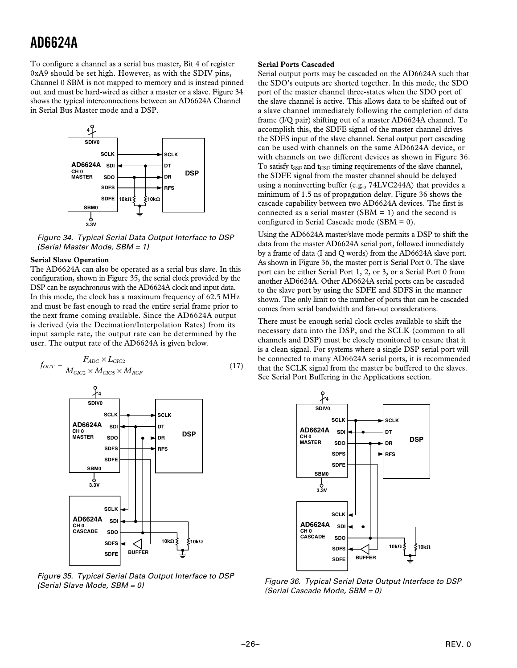<span id="page-25-0"></span>To configure a channel as a serial bus master, Bit 4 of register 0xA9 should be set high. However, as with the SDIV pins, Channel 0 SBM is not mapped to memory and is instead pinned out and must be hard-wired as either a master or a slave. Figure 34 shows the typical interconnections between an AD6624A Channel in Serial Bus Master mode and a DSP.



Figure 34. Typical Serial Data Output Interface to DSP (Serial Master Mode, SBM = 1)

#### **Serial Slave Operation**

The AD6624A can also be operated as a serial bus slave. In this configuration, shown in Figure 35, the serial clock provided by the DSP can be asynchronous with the AD6624A clock and input data. In this mode, the clock has a maximum frequency of 62.5 MHz and must be fast enough to read the entire serial frame prior to the next frame coming available. Since the AD6624A output is derived (via the Decimation/Interpolation Rates) from its input sample rate, the output rate can be determined by the user. The output rate of the AD6624A is given below.

$$
f_{OUT} = \frac{F_{ADC} \times L_{CIC2}}{M_{CIC2} \times M_{CIC5} \times M_{RCF}}
$$
(17)



Figure 35. Typical Serial Data Output Interface to DSP (Serial Slave Mode, SBM = 0)

#### **Serial Ports Cascaded**

Serial output ports may be cascaded on the AD6624A such that the SDO's outputs are shorted together. In this mode, the SDO port of the master channel three-states when the SDO port of the slave channel is active. This allows data to be shifted out of a slave channel immediately following the completion of data frame (I/Q pair) shifting out of a master AD6624A channel. To accomplish this, the SDFE signal of the master channel drives the SDFS input of the slave channel. Serial output port cascading can be used with channels on the same AD6624A device, or with channels on two different devices as shown in Figure 36. To satisfy  $t_{\text{SSF}}$  and  $t_{\text{HSF}}$  timing requirements of the slave channel, the SDFE signal from the master channel should be delayed using a noninverting buffer (e.g., 74LVC244A) that provides a minimum of 1.5 ns of propagation delay. Figure 36 shows the cascade capability between two AD6624A devices. The first is connected as a serial master (SBM  $= 1$ ) and the second is configured in Serial Cascade mode (SBM  $= 0$ ).

Using the AD6624A master/slave mode permits a DSP to shift the data from the master AD6624A serial port, followed immediately by a frame of data (I and Q words) from the AD6624A slave port. As shown in Figure 36, the master port is Serial Port 0. The slave port can be either Serial Port 1, 2, or 3, or a Serial Port 0 from another AD6624A. Other AD6624A serial ports can be cascaded to the slave port by using the SDFE and SDFS in the manner shown. The only limit to the number of ports that can be cascaded comes from serial bandwidth and fan-out considerations.

There must be enough serial clock cycles available to shift the necessary data into the DSP, and the SCLK (common to all channels and DSP) must be closely monitored to ensure that it is a clean signal. For systems where a single DSP serial port will be connected to many AD6624A serial ports, it is recommended that the SCLK signal from the master be buffered to the slaves. See Serial Port Buffering in the Applications section.



Figure 36. Typical Serial Data Output Interface to DSP (Serial Cascade Mode, SBM = 0)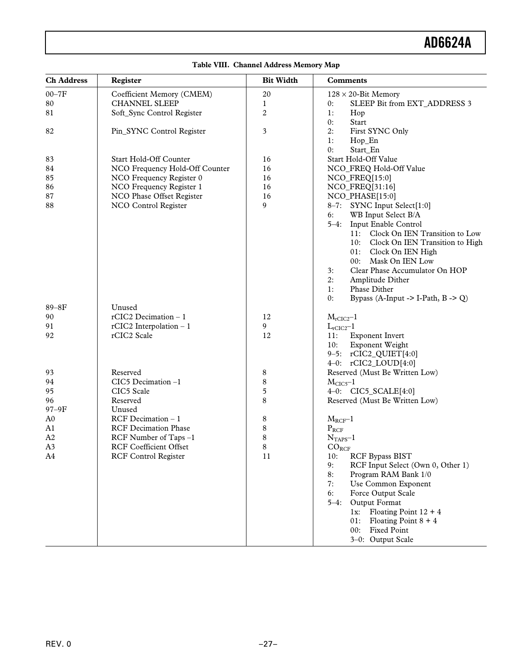| <b>Ch Address</b> | Register                       | <b>Bit Width</b> | <b>Comments</b>                                      |
|-------------------|--------------------------------|------------------|------------------------------------------------------|
| $00 - 7F$         | Coefficient Memory (CMEM)      | $20\,$           | $128 \times 20$ -Bit Memory                          |
| 80                | <b>CHANNEL SLEEP</b>           | 1                | SLEEP Bit from EXT_ADDRESS 3<br>0:                   |
| 81                | Soft_Sync Control Register     | $\overline{c}$   | 1:<br>Hop                                            |
|                   |                                |                  | Start<br>0:                                          |
| 82                | Pin_SYNC Control Register      | 3                | First SYNC Only<br>2:                                |
|                   |                                |                  | 1:<br>Hop_En                                         |
|                   |                                |                  | 0:<br>Start_En                                       |
| 83                | Start Hold-Off Counter         | 16               | Start Hold-Off Value                                 |
| 84                | NCO Frequency Hold-Off Counter | 16               | NCO_FREQ Hold-Off Value                              |
| 85                | NCO Frequency Register 0       | 16               | NCO_FREQ[15:0]                                       |
| 86                | NCO Frequency Register 1       | 16               | NCO_FREQ[31:16]                                      |
| 87                | NCO Phase Offset Register      | 16               | NCO_PHASE[15:0]                                      |
| 88                | NCO Control Register           | 9                | 8-7: SYNC Input Select[1:0]                          |
|                   |                                |                  | WB Input Select B/A<br>6:                            |
|                   |                                |                  | Input Enable Control<br>$5 - 4:$                     |
|                   |                                |                  | 11: Clock On IEN Transition to Low                   |
|                   |                                |                  | 10: Clock On IEN Transition to High                  |
|                   |                                |                  | 01:<br>Clock On IEN High                             |
|                   |                                |                  | 00:<br>Mask On IEN Low                               |
|                   |                                |                  | Clear Phase Accumulator On HOP<br>3:                 |
|                   |                                |                  | 2:<br>Amplitude Dither                               |
|                   |                                |                  | Phase Dither<br>1:                                   |
|                   |                                |                  | Bypass (A-Input -> I-Path, $B \rightarrow Q$ )<br>0: |
| 89-8F             | Unused                         |                  |                                                      |
| 90                | rCIC2 Decimation $-1$          | 12               | $M_{rClC2}$ -1                                       |
| 91                | rCIC2 Interpolation $-1$       | 9                | $L_{rClC2}$ -1                                       |
| 92                | rCIC2 Scale                    | 12               | <b>Exponent Invert</b><br>11:                        |
|                   |                                |                  | Exponent Weight<br>10:                               |
|                   |                                |                  | 9-5: rCIC2_QUIET[4:0]                                |
|                   |                                |                  | 4-0: $rCIC2\_LOUD[4:0]$                              |
| 93                | Reserved                       | 8                | Reserved (Must Be Written Low)                       |
| 94                | CIC5 Decimation -1             | 8                | $MCIC5-1$                                            |
| 95                | CIC5 Scale                     | 5                | 4-0: CIC5_SCALE[4:0]                                 |
| 96                | Reserved                       | 8                | Reserved (Must Be Written Low)                       |
| 97-9F             | Unused                         |                  |                                                      |
| A <sub>0</sub>    | RCF Decimation $-1$            | 8                | $M_{RCF}$ -1                                         |
| A1                | <b>RCF</b> Decimation Phase    | 8                | $P_{RCF}$                                            |
| A <sub>2</sub>    | RCF Number of Taps -1          | 8                |                                                      |
| A3                | <b>RCF Coefficient Offset</b>  | 8                | $NTAPS-1$                                            |
| A4                | <b>RCF Control Register</b>    | 11               | $CO_{RCF}$<br><b>RCF Bypass BIST</b><br>10:          |
|                   |                                |                  | RCF Input Select (Own 0, Other 1)<br>9:              |
|                   |                                |                  | Program RAM Bank 1/0<br>8:                           |
|                   |                                |                  | 7:<br>Use Common Exponent                            |
|                   |                                |                  | 6:                                                   |
|                   |                                |                  | Force Output Scale                                   |
|                   |                                |                  | Output Format<br>$5 - 4:$                            |
|                   |                                |                  | Floating Point $12 + 4$<br>$1x$ :                    |
|                   |                                |                  | Floating Point $8 + 4$<br>01:                        |
|                   |                                |                  | 00:<br><b>Fixed Point</b>                            |
|                   |                                |                  | 3-0: Output Scale                                    |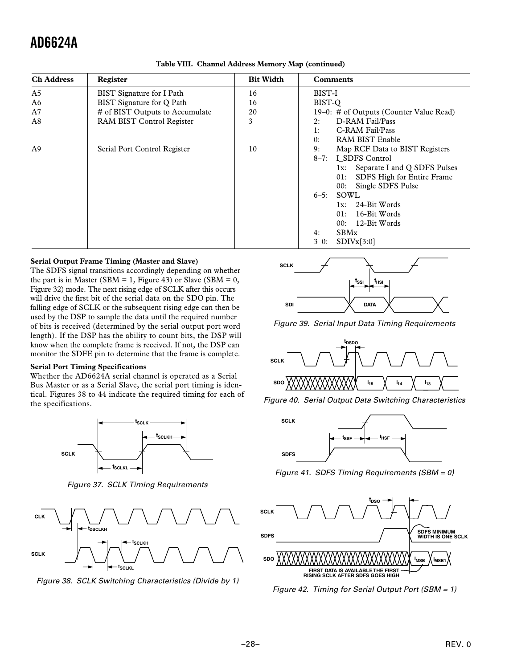<span id="page-27-0"></span>

| <b>Ch Address</b> | Register                        | <b>Bit Width</b> | <b>Comments</b>                         |
|-------------------|---------------------------------|------------------|-----------------------------------------|
| A5                | BIST Signature for I Path       | 16               | BIST-I                                  |
| A6                | BIST Signature for O Path       | 16               | BIST-Q                                  |
| A7                | # of BIST Outputs to Accumulate | 20               | 19–0: # of Outputs (Counter Value Read) |
| A8                | RAM BIST Control Register       | 3                | D-RAM Fail/Pass<br>2:                   |
|                   |                                 |                  | C-RAM Fail/Pass<br>1:                   |
|                   |                                 |                  | RAM BIST Enable<br>0:                   |
| A <sup>9</sup>    | Serial Port Control Register    | 10               | Map RCF Data to BIST Registers<br>9:    |
|                   |                                 |                  | 8-7: I SDFS Control                     |
|                   |                                 |                  | Separate I and Q SDFS Pulses<br>lx:     |
|                   |                                 |                  | SDFS High for Entire Frame<br>01:       |
|                   |                                 |                  | Single SDFS Pulse<br>00:                |
|                   |                                 |                  | $6-5$ : SOWL                            |
|                   |                                 |                  | 24-Bit Words<br>$1x$ :                  |
|                   |                                 |                  | 16-Bit Words<br>01:                     |
|                   |                                 |                  | 12-Bit Words<br>00:                     |
|                   |                                 |                  | <b>SBMx</b><br>4:                       |
|                   |                                 |                  | SDIVx[3:0]<br>$3-0$ :                   |

**Table VIII. Channel Address Memory Map (continued)**

#### **Serial Output Frame Timing (Master and Slave)**

The SDFS signal transitions accordingly depending on whether the part is in Master (SBM = 1, Figure 43) or Slave (SBM = 0, Figure 32) mode. The next rising edge of SCLK after this occurs will drive the first bit of the serial data on the SDO pin. The falling edge of SCLK or the subsequent rising edge can then be used by the DSP to sample the data until the required number of bits is received (determined by the serial output port word length). If the DSP has the ability to count bits, the DSP will know when the complete frame is received. If not, the DSP can monitor the SDFE pin to determine that the frame is complete.

#### **Serial Port Timing Specifications**

Whether the AD6624A serial channel is operated as a Serial Bus Master or as a Serial Slave, the serial port timing is identical. Figures 38 to 44 indicate the required timing for each of the specifications.



Figure 37. SCLK Timing Requirements



Figure 38. SCLK Switching Characteristics (Divide by 1)



Figure 39. Serial Input Data Timing Requirements



Figure 40. Serial Output Data Switching Characteristics



Figure 41. SDFS Timing Requirements (SBM = 0)



Figure 42. Timing for Serial Output Port (SBM = 1)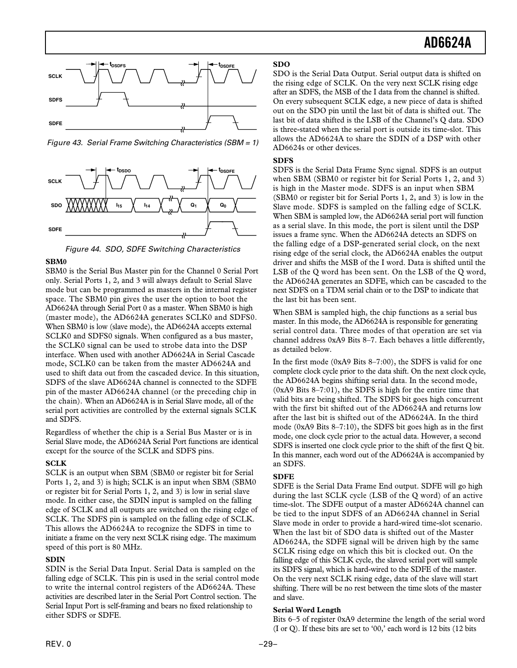<span id="page-28-0"></span>

Figure 43. Serial Frame Switching Characteristics (SBM = 1)



Figure 44. SDO, SDFE Switching Characteristics

### **SBM0**

SBM0 is the Serial Bus Master pin for the Channel 0 Serial Port only. Serial Ports 1, 2, and 3 will always default to Serial Slave mode but can be programmed as masters in the internal register space. The SBM0 pin gives the user the option to boot the AD6624A through Serial Port 0 as a master. When SBM0 is high (master mode), the AD6624A generates SCLK0 and SDFS0. When SBM0 is low (slave mode), the AD6624A accepts external SCLK0 and SDFS0 signals. When configured as a bus master, the SCLK0 signal can be used to strobe data into the DSP interface. When used with another AD6624A in Serial Cascade mode, SCLK0 can be taken from the master AD6624A and used to shift data out from the cascaded device. In this situation, SDFS of the slave AD6624A channel is connected to the SDFE pin of the master AD6624A channel (or the preceding chip in the chain). When an AD6624A is in Serial Slave mode, all of the serial port activities are controlled by the external signals SCLK and SDFS.

Regardless of whether the chip is a Serial Bus Master or is in Serial Slave mode, the AD6624A Serial Port functions are identical except for the source of the SCLK and SDFS pins.

# **SCLK**

SCLK is an output when SBM (SBM0 or register bit for Serial Ports 1, 2, and 3) is high; SCLK is an input when SBM (SBM0 or register bit for Serial Ports 1, 2, and 3) is low in serial slave mode. In either case, the SDIN input is sampled on the falling edge of SCLK and all outputs are switched on the rising edge of SCLK. The SDFS pin is sampled on the falling edge of SCLK. This allows the AD6624A to recognize the SDFS in time to initiate a frame on the very next SCLK rising edge. The maximum speed of this port is 80 MHz.

# **SDIN**

SDIN is the Serial Data Input. Serial Data is sampled on the falling edge of SCLK. This pin is used in the serial control mode to write the internal control registers of the AD6624A. These activities are described later in the Serial Port Control section. The Serial Input Port is self-framing and bears no fixed relationship to either SDFS or SDFE.

# **SDO**

SDO is the Serial Data Output. Serial output data is shifted on the rising edge of SCLK. On the very next SCLK rising edge after an SDFS, the MSB of the I data from the channel is shifted. On every subsequent SCLK edge, a new piece of data is shifted out on the SDO pin until the last bit of data is shifted out. The last bit of data shifted is the LSB of the Channel's Q data. SDO is three-stated when the serial port is outside its time-slot. This allows the AD6624A to share the SDIN of a DSP with other AD6624s or other devices.

# **SDFS**

SDFS is the Serial Data Frame Sync signal. SDFS is an output when SBM (SBM0 or register bit for Serial Ports 1, 2, and 3) is high in the Master mode. SDFS is an input when SBM (SBM0 or register bit for Serial Ports 1, 2, and 3) is low in the Slave mode. SDFS is sampled on the falling edge of SCLK. When SBM is sampled low, the AD6624A serial port will function as a serial slave. In this mode, the port is silent until the DSP issues a frame sync. When the AD6624A detects an SDFS on the falling edge of a DSP-generated serial clock, on the next rising edge of the serial clock, the AD6624A enables the output driver and shifts the MSB of the I word. Data is shifted until the LSB of the Q word has been sent. On the LSB of the Q word, the AD6624A generates an SDFE, which can be cascaded to the next SDFS on a TDM serial chain or to the DSP to indicate that the last bit has been sent.

When SBM is sampled high, the chip functions as a serial bus master. In this mode, the AD6624A is responsible for generating serial control data. Three modes of that operation are set via channel address 0xA9 Bits 8–7. Each behaves a little differently, as detailed below.

In the first mode (0xA9 Bits 8–7:00), the SDFS is valid for one complete clock cycle prior to the data shift. On the next clock cycle, the AD6624A begins shifting serial data. In the second mode, (0xA9 Bits 8–7:01), the SDFS is high for the entire time that valid bits are being shifted. The SDFS bit goes high concurrent with the first bit shifted out of the AD6624A and returns low after the last bit is shifted out of the AD6624A. In the third mode (0xA9 Bits 8–7:10), the SDFS bit goes high as in the first mode, one clock cycle prior to the actual data. However, a second SDFS is inserted one clock cycle prior to the shift of the first Q bit. In this manner, each word out of the AD6624A is accompanied by an SDFS.

# **SDFE**

SDFE is the Serial Data Frame End output. SDFE will go high during the last SCLK cycle (LSB of the Q word) of an active time-slot. The SDFE output of a master AD6624A channel can be tied to the input SDFS of an AD6624A channel in Serial Slave mode in order to provide a hard-wired time-slot scenario. When the last bit of SDO data is shifted out of the Master AD6624A, the SDFE signal will be driven high by the same SCLK rising edge on which this bit is clocked out. On the falling edge of this SCLK cycle, the slaved serial port will sample its SDFS signal, which is hard-wired to the SDFE of the master. On the very next SCLK rising edge, data of the slave will start shifting. There will be no rest between the time slots of the master and slave.

# **Serial Word Length**

Bits 6–5 of register 0xA9 determine the length of the serial word (I or Q). If these bits are set to '00,' each word is 12 bits (12 bits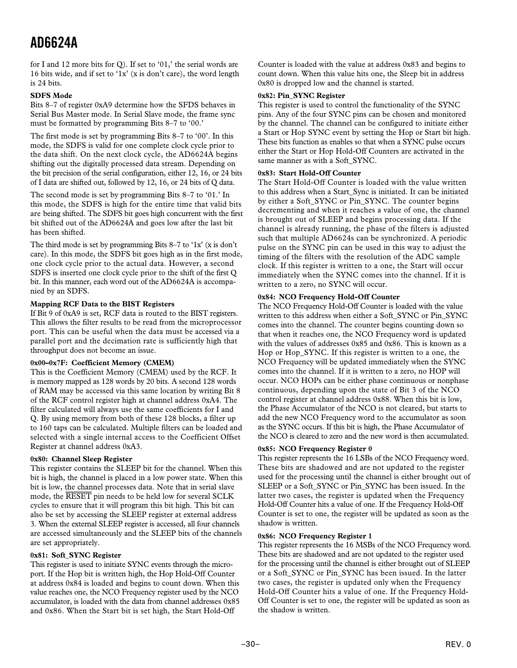<span id="page-29-0"></span>for I and 12 more bits for Q). If set to '01,' the serial words are 16 bits wide, and if set to '1x' (x is don't care), the word length is 24 bits.

### **SDFS Mode**

Bits 8–7 of register 0xA9 determine how the SFDS behaves in Serial Bus Master mode. In Serial Slave mode, the frame sync must be formatted by programming Bits 8–7 to '00.'

The first mode is set by programming Bits 8–7 to '00'. In this mode, the SDFS is valid for one complete clock cycle prior to the data shift. On the next clock cycle, the AD6624A begins shifting out the digitally processed data stream. Depending on the bit precision of the serial configuration, either 12, 16, or 24 bits of I data are shifted out, followed by 12, 16, or 24 bits of Q data.

The second mode is set by programming Bits 8–7 to '01.' In this mode, the SDFS is high for the entire time that valid bits are being shifted. The SDFS bit goes high concurrent with the first bit shifted out of the AD6624A and goes low after the last bit has been shifted.

The third mode is set by programming Bits 8–7 to '1x' (x is don't care). In this mode, the SDFS bit goes high as in the first mode, one clock cycle prior to the actual data. However, a second SDFS is inserted one clock cycle prior to the shift of the first Q bit. In this manner, each word out of the AD6624A is accompanied by an SDFS.

# **Mapping RCF Data to the BIST Registers**

If Bit 9 of 0xA9 is set, RCF data is routed to the BIST registers. This allows the filter results to be read from the microprocessor port. This can be useful when the data must be accessed via a parallel port and the decimation rate is sufficiently high that throughput does not become an issue.

### **0x00–0x7F: Coefficient Memory (CMEM)**

This is the Coefficient Memory (CMEM) used by the RCF. It is memory mapped as 128 words by 20 bits. A second 128 words of RAM may be accessed via this same location by writing Bit 8 of the RCF control register high at channel address 0xA4. The filter calculated will always use the same coefficients for I and Q. By using memory from both of these 128 blocks, a filter up to 160 taps can be calculated. Multiple filters can be loaded and selected with a single internal access to the Coefficient Offset Register at channel address 0xA3.

### **0x80: Channel Sleep Register**

This register contains the SLEEP bit for the channel. When this bit is high, the channel is placed in a low power state. When this bit is low, the channel processes data. Note that in serial slave mode, the *RESET* pin needs to be held low for several SCLK cycles to ensure that it will program this bit high. This bit can also be set by accessing the SLEEP register at external address 3. When the external SLEEP register is accessed, all four channels are accessed simultaneously and the SLEEP bits of the channels are set appropriately.

### **0x81: Soft\_SYNC Register**

This register is used to initiate SYNC events through the microport. If the Hop bit is written high, the Hop Hold-Off Counter at address 0x84 is loaded and begins to count down. When this value reaches one, the NCO Frequency register used by the NCO accumulator, is loaded with the data from channel addresses 0x85 and 0x86. When the Start bit is set high, the Start Hold-Off

Counter is loaded with the value at address 0x83 and begins to count down. When this value hits one, the Sleep bit in address 0x80 is dropped low and the channel is started.

### **0x82: Pin\_SYNC Register**

This register is used to control the functionality of the SYNC pins. Any of the four SYNC pins can be chosen and monitored by the channel. The channel can be configured to initiate either a Start or Hop SYNC event by setting the Hop or Start bit high. These bits function as enables so that when a SYNC pulse occurs either the Start or Hop Hold-Off Counters are activated in the same manner as with a Soft SYNC.

### **0x83: Start Hold-Off Counter**

The Start Hold-Off Counter is loaded with the value written to this address when a Start\_Sync is initiated. It can be initiated by either a Soft\_SYNC or Pin\_SYNC. The counter begins decrementing and when it reaches a value of one, the channel is brought out of SLEEP and begins processing data. If the channel is already running, the phase of the filters is adjusted such that multiple AD6624s can be synchronized. A periodic pulse on the SYNC pin can be used in this way to adjust the timing of the filters with the resolution of the ADC sample clock. If this register is written to a one, the Start will occur immediately when the SYNC comes into the channel. If it is written to a zero, no SYNC will occur.

### **0x84: NCO Frequency Hold-Off Counter**

The NCO Frequency Hold-Off Counter is loaded with the value written to this address when either a Soft\_SYNC or Pin\_SYNC comes into the channel. The counter begins counting down so that when it reaches one, the NCO Frequency word is updated with the values of addresses 0x85 and 0x86. This is known as a Hop or Hop\_SYNC. If this register is written to a one, the NCO Frequency will be updated immediately when the SYNC comes into the channel. If it is written to a zero, no HOP will occur. NCO HOPs can be either phase continuous or nonphase continuous, depending upon the state of Bit 3 of the NCO control register at channel address 0x88. When this bit is low, the Phase Accumulator of the NCO is not cleared, but starts to add the new NCO Frequency word to the accumulator as soon as the SYNC occurs. If this bit is high, the Phase Accumulator of the NCO is cleared to zero and the new word is then accumulated.

# **0x85: NCO Frequency Register 0**

This register represents the 16 LSBs of the NCO Frequency word. These bits are shadowed and are not updated to the register used for the processing until the channel is either brought out of SLEEP or a Soft\_SYNC or Pin\_SYNC has been issued. In the latter two cases, the register is updated when the Frequency Hold-Off Counter hits a value of one. If the Frequency Hold-Off Counter is set to one, the register will be updated as soon as the shadow is written.

### **0x86: NCO Frequency Register 1**

This register represents the 16 MSBs of the NCO Frequency word. These bits are shadowed and are not updated to the register used for the processing until the channel is either brought out of SLEEP or a Soft\_SYNC or Pin\_SYNC has been issued. In the latter two cases, the register is updated only when the Frequency Hold-Off Counter hits a value of one. If the Frequency Hold-Off Counter is set to one, the register will be updated as soon as the shadow is written.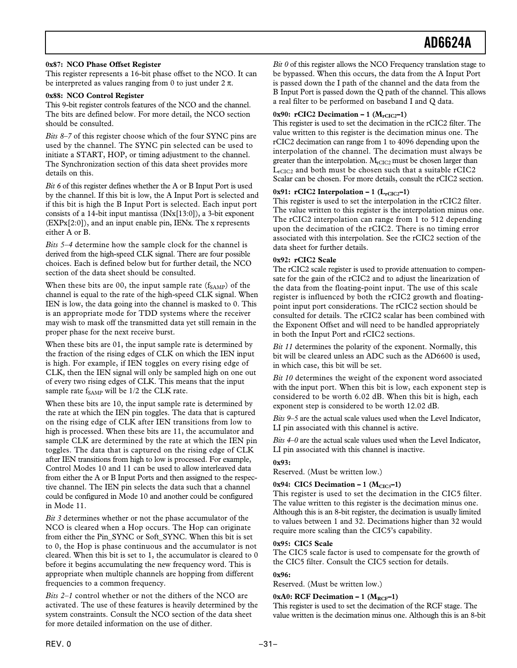### <span id="page-30-0"></span>**0x87: NCO Phase Offset Register**

This register represents a 16-bit phase offset to the NCO. It can be interpreted as values ranging from 0 to just under  $2 \pi$ .

### **0x88: NCO Control Register**

This 9-bit register controls features of the NCO and the channel. The bits are defined below. For more detail, the NCO section should be consulted.

*Bits 8–7* of this register choose which of the four SYNC pins are used by the channel. The SYNC pin selected can be used to initiate a START, HOP, or timing adjustment to the channel. The Synchronization section of this data sheet provides more details on this.

*Bit 6* of this register defines whether the A or B Input Port is used by the channel. If this bit is low, the A Input Port is selected and if this bit is high the B Input Port is selected. Each input port consists of a 14-bit input mantissa (INx[13:0]), a 3-bit exponent (EXPx[2:0]), and an input enable pin, IENx. The x represents either A or B.

*Bits 5–4* determine how the sample clock for the channel is derived from the high-speed CLK signal. There are four possible choices. Each is defined below but for further detail, the NCO section of the data sheet should be consulted.

When these bits are 00, the input sample rate  $(f_{SAMP})$  of the channel is equal to the rate of the high-speed CLK signal. When IEN is low, the data going into the channel is masked to 0. This is an appropriate mode for TDD systems where the receiver may wish to mask off the transmitted data yet still remain in the proper phase for the next receive burst.

When these bits are 01, the input sample rate is determined by the fraction of the rising edges of CLK on which the IEN input is high. For example, if IEN toggles on every rising edge of CLK, then the IEN signal will only be sampled high on one out of every two rising edges of CLK. This means that the input sample rate  $f_{SAMP}$  will be 1/2 the CLK rate.

When these bits are 10, the input sample rate is determined by the rate at which the IEN pin toggles. The data that is captured on the rising edge of CLK after IEN transitions from low to high is processed. When these bits are 11, the accumulator and sample CLK are determined by the rate at which the IEN pin toggles. The data that is captured on the rising edge of CLK after IEN transitions from high to low is processed. For example, Control Modes 10 and 11 can be used to allow interleaved data from either the A or B Input Ports and then assigned to the respective channel. The IEN pin selects the data such that a channel could be configured in Mode 10 and another could be configured in Mode 11.

*Bit 3* determines whether or not the phase accumulator of the NCO is cleared when a Hop occurs. The Hop can originate from either the Pin\_SYNC or Soft\_SYNC. When this bit is set to 0, the Hop is phase continuous and the accumulator is not cleared. When this bit is set to 1, the accumulator is cleared to 0 before it begins accumulating the new frequency word. This is appropriate when multiple channels are hopping from different frequencies to a common frequency.

*Bits 2–1* control whether or not the dithers of the NCO are activated. The use of these features is heavily determined by the system constraints. Consult the NCO section of the data sheet for more detailed information on the use of dither.

*Bit 0* of this register allows the NCO Frequency translation stage to be bypassed. When this occurs, the data from the A Input Port is passed down the I path of the channel and the data from the B Input Port is passed down the Q path of the channel. This allows a real filter to be performed on baseband I and Q data.

### 0x90: **rCIC2 Decimation – 1**  $(M_{rClC2}-1)$

This register is used to set the decimation in the rCIC2 filter. The value written to this register is the decimation minus one. The rCIC2 decimation can range from 1 to 4096 depending upon the interpolation of the channel. The decimation must always be greater than the interpolation.  $M_{rCIC2}$  must be chosen larger than  $L_{rCIC2}$  and both must be chosen such that a suitable  $rCIC2$ Scalar can be chosen. For more details, consult the rCIC2 section.

# 0x91:  $rCIC2$  Interpolation – 1  $(L_{rCIC2} - 1)$

This register is used to set the interpolation in the rCIC2 filter. The value written to this register is the interpolation minus one. The rCIC2 interpolation can range from 1 to 512 depending upon the decimation of the rCIC2. There is no timing error associated with this interpolation. See the rCIC2 section of the data sheet for further details.

### **0x92: rCIC2 Scale**

The rCIC2 scale register is used to provide attenuation to compensate for the gain of the rCIC2 and to adjust the linearization of the data from the floating-point input. The use of this scale register is influenced by both the rCIC2 growth and floatingpoint input port considerations. The rCIC2 section should be consulted for details. The rCIC2 scalar has been combined with the Exponent Offset and will need to be handled appropriately in both the Input Port and rCIC2 sections.

*Bit 11* determines the polarity of the exponent. Normally, this bit will be cleared unless an ADC such as the AD6600 is used, in which case, this bit will be set.

*Bit 10* determines the weight of the exponent word associated with the input port. When this bit is low, each exponent step is considered to be worth 6.02 dB. When this bit is high, each exponent step is considered to be worth 12.02 dB.

*Bits 9–5* are the actual scale values used when the Level Indicator, LI pin associated with this channel is active.

*Bits 4–0* are the actual scale values used when the Level Indicator, LI pin associated with this channel is inactive.

# **0x93:**

Reserved. (Must be written low.)

# $0x94$ : CIC5 Decimation – 1 ( $M<sub>CIC5</sub>$ –1)

This register is used to set the decimation in the CIC5 filter. The value written to this register is the decimation minus one. Although this is an 8-bit register, the decimation is usually limited to values between 1 and 32. Decimations higher than 32 would require more scaling than the CIC5's capability.

# **0x95: CIC5 Scale**

The CIC5 scale factor is used to compensate for the growth of the CIC5 filter. Consult the CIC5 section for details.

# **0x96:**

Reserved. (Must be written low.)

### $0xA0$ : RCF Decimation – 1 ( $M_{RCF}$ –1)

This register is used to set the decimation of the RCF stage. The value written is the decimation minus one. Although this is an 8-bit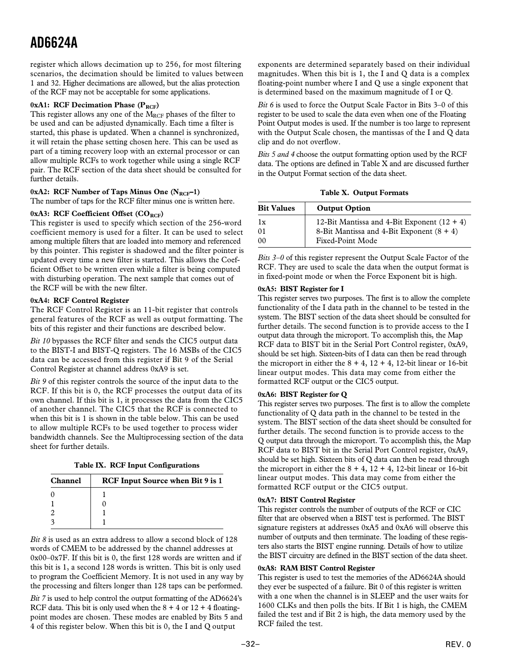<span id="page-31-0"></span>register which allows decimation up to 256, for most filtering scenarios, the decimation should be limited to values between 1 and 32. Higher decimations are allowed, but the alias protection of the RCF may not be acceptable for some applications.

### 0xA1: RCF Decimation Phase (P<sub>RCF</sub>)

This register allows any one of the MRCF phases of the filter to be used and can be adjusted dynamically. Each time a filter is started, this phase is updated. When a channel is synchronized, it will retain the phase setting chosen here. This can be used as part of a timing recovery loop with an external processor or can allow multiple RCFs to work together while using a single RCF pair. The RCF section of the data sheet should be consulted for further details.

# 0xA2: RCF Number of Taps Minus One (N<sub>RCF</sub>-1)

The number of taps for the RCF filter minus one is written here.

### 0xA3: RCF Coefficient Offset (CO<sub>RCF</sub>)

This register is used to specify which section of the 256-word coefficient memory is used for a filter. It can be used to select among multiple filters that are loaded into memory and referenced by this pointer. This register is shadowed and the filter pointer is updated every time a new filter is started. This allows the Coefficient Offset to be written even while a filter is being computed with disturbing operation. The next sample that comes out of the RCF will be with the new filter.

### **0xA4: RCF Control Register**

The RCF Control Register is an 11-bit register that controls general features of the RCF as well as output formatting. The bits of this register and their functions are described below.

*Bit 10* bypasses the RCF filter and sends the CIC5 output data to the BIST-I and BIST-Q registers. The 16 MSBs of the CIC5 data can be accessed from this register if Bit 9 of the Serial Control Register at channel address 0xA9 is set.

*Bit 9* of this register controls the source of the input data to the RCF. If this bit is 0, the RCF processes the output data of its own channel. If this bit is 1, it processes the data from the CIC5 of another channel. The CIC5 that the RCF is connected to when this bit is 1 is shown in the table below. This can be used to allow multiple RCFs to be used together to process wider bandwidth channels. See the Multiprocessing section of the data sheet for further details.

| Table IX. RCF Input Configurations |  |  |  |  |
|------------------------------------|--|--|--|--|
|------------------------------------|--|--|--|--|

| <b>Channel</b> | <b>RCF Input Source when Bit 9 is 1</b> |
|----------------|-----------------------------------------|
|                |                                         |
|                |                                         |
|                |                                         |
|                |                                         |

*Bit 8* is used as an extra address to allow a second block of 128 words of CMEM to be addressed by the channel addresses at 0x00–0x7F. If this bit is 0, the first 128 words are written and if this bit is 1, a second 128 words is written. This bit is only used to program the Coefficient Memory. It is not used in any way by the processing and filters longer than 128 taps can be performed.

*Bit 7* is used to help control the output formatting of the AD6624's RCF data. This bit is only used when the  $8 + 4$  or  $12 + 4$  floatingpoint modes are chosen. These modes are enabled by Bits 5 and 4 of this register below. When this bit is 0, the I and Q output

exponents are determined separately based on their individual magnitudes. When this bit is 1, the I and Q data is a complex floating-point number where I and Q use a single exponent that is determined based on the maximum magnitude of I or Q.

*Bit 6* is used to force the Output Scale Factor in Bits 3–0 of this register to be used to scale the data even when one of the Floating Point Output modes is used. If the number is too large to represent with the Output Scale chosen, the mantissas of the I and Q data clip and do not overflow.

*Bits 5 and 4* choose the output formatting option used by the RCF data. The options are defined in Table X and are discussed further in the Output Format section of the data sheet.

**Table X. Output Formats**

| <b>Bit Values</b> | <b>Output Option</b>                          |
|-------------------|-----------------------------------------------|
| 1x                | 12-Bit Mantissa and 4-Bit Exponent $(12 + 4)$ |
| 01                | 8-Bit Mantissa and 4-Bit Exponent $(8 + 4)$   |
| 00                | Fixed-Point Mode                              |

*Bits 3–0* of this register represent the Output Scale Factor of the RCF. They are used to scale the data when the output format is in fixed-point mode or when the Force Exponent bit is high.

### **0xA5: BIST Register for I**

This register serves two purposes. The first is to allow the complete functionality of the I data path in the channel to be tested in the system. The BIST section of the data sheet should be consulted for further details. The second function is to provide access to the I output data through the microport. To accomplish this, the Map RCF data to BIST bit in the Serial Port Control register, 0xA9, should be set high. Sixteen-bits of I data can then be read through the microport in either the  $8 + 4$ ,  $12 + 4$ , 12-bit linear or 16-bit linear output modes. This data may come from either the formatted RCF output or the CIC5 output.

# **0xA6: BIST Register for Q**

This register serves two purposes. The first is to allow the complete functionality of Q data path in the channel to be tested in the system. The BIST section of the data sheet should be consulted for further details. The second function is to provide access to the Q output data through the microport. To accomplish this, the Map RCF data to BIST bit in the Serial Port Control register, 0xA9, should be set high. Sixteen bits of Q data can then be read through the microport in either the  $8 + 4$ ,  $12 + 4$ , 12-bit linear or 16-bit linear output modes. This data may come from either the formatted RCF output or the CIC5 output.

# **0xA7: BIST Control Register**

This register controls the number of outputs of the RCF or CIC filter that are observed when a BIST test is performed. The BIST signature registers at addresses 0xA5 and 0xA6 will observe this number of outputs and then terminate. The loading of these registers also starts the BIST engine running. Details of how to utilize the BIST circuitry are defined in the BIST section of the data sheet.

### **0xA8: RAM BIST Control Register**

This register is used to test the memories of the AD6624A should they ever be suspected of a failure. Bit 0 of this register is written with a one when the channel is in SLEEP and the user waits for 1600 CLKs and then polls the bits. If Bit 1 is high, the CMEM failed the test and if Bit 2 is high, the data memory used by the RCF failed the test.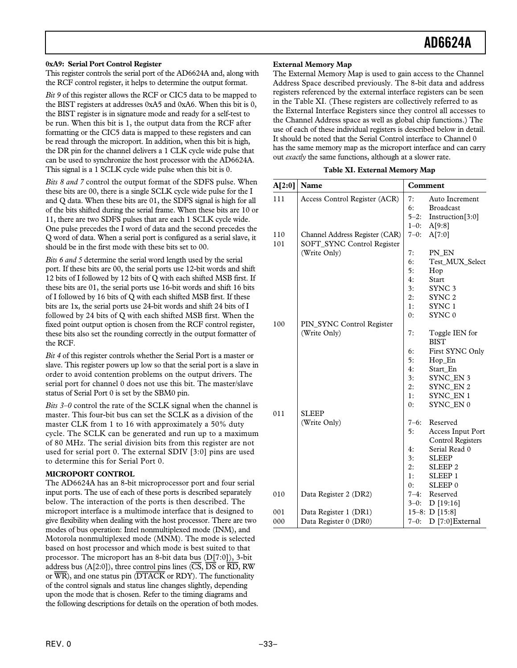### <span id="page-32-0"></span>**0xA9: Serial Port Control Register**

This register controls the serial port of the AD6624A and, along with the RCF control register, it helps to determine the output format.

*Bit 9* of this register allows the RCF or CIC5 data to be mapped to the BIST registers at addresses 0xA5 and 0xA6. When this bit is 0, the BIST register is in signature mode and ready for a self-test to be run. When this bit is 1, the output data from the RCF after formatting or the CIC5 data is mapped to these registers and can be read through the microport. In addition, when this bit is high, the DR pin for the channel delivers a 1 CLK cycle wide pulse that can be used to synchronize the host processor with the AD6624A. This signal is a 1 SCLK cycle wide pulse when this bit is 0.

*Bits 8 and 7* control the output format of the SDFS pulse. When these bits are 00, there is a single SCLK cycle wide pulse for the I and Q data. When these bits are 01, the SDFS signal is high for all of the bits shifted during the serial frame. When these bits are 10 or 11, there are two SDFS pulses that are each 1 SCLK cycle wide. One pulse precedes the I word of data and the second precedes the Q word of data. When a serial port is configured as a serial slave, it should be in the first mode with these bits set to 00.

*Bits 6 and 5* determine the serial word length used by the serial port. If these bits are 00, the serial ports use 12-bit words and shift 12 bits of I followed by 12 bits of Q with each shifted MSB first. If these bits are 01, the serial ports use 16-bit words and shift 16 bits of I followed by 16 bits of Q with each shifted MSB first. If these bits are 1x, the serial ports use 24-bit words and shift 24 bits of I followed by 24 bits of Q with each shifted MSB first. When the fixed point output option is chosen from the RCF control register, these bits also set the rounding correctly in the output formatter of the RCF.

*Bit 4* of this register controls whether the Serial Port is a master or slave. This register powers up low so that the serial port is a slave in order to avoid contention problems on the output drivers. The serial port for channel 0 does not use this bit. The master/slave status of Serial Port 0 is set by the SBM0 pin.

*Bits 3–0* control the rate of the SCLK signal when the channel is master. This four-bit bus can set the SCLK as a division of the master CLK from 1 to 16 with approximately a 50% duty cycle. The SCLK can be generated and run up to a maximum of 80 MHz. The serial division bits from this register are not used for serial port 0. The external SDIV [3:0] pins are used to determine this for Serial Port 0.

# **MICROPORT CONTROL**

The AD6624A has an 8-bit microprocessor port and four serial input ports. The use of each of these ports is described separately below. The interaction of the ports is then described. The microport interface is a multimode interface that is designed to give flexibility when dealing with the host processor. There are two modes of bus operation: Intel nonmultiplexed mode (INM), and Motorola nonmultiplexed mode (MNM). The mode is selected based on host processor and which mode is best suited to that processor. The microport has an 8-bit data bus (D[7:0]), 3-bit address bus (A[2:0]), three control pins lines (*CS*, *DS* or *RD*, RW or *WR*), and one status pin (*DTACK* or RDY). The functionality of the control signals and status line changes slightly, depending upon the mode that is chosen. Refer to the timing diagrams and the following descriptions for details on the operation of both modes.

### **External Memory Map**

The External Memory Map is used to gain access to the Channel Address Space described previously. The 8-bit data and address registers referenced by the external interface registers can be seen in the Table XI. (These registers are collectively referred to as the External Interface Registers since they control all accesses to the Channel Address space as well as global chip functions.) The use of each of these individual registers is described below in detail. It should be noted that the Serial Control interface to Channel 0 has the same memory map as the microport interface and can carry out *exactly* the same functions, although at a slower rate.

|  | Table XI. External Memory Map |  |
|--|-------------------------------|--|
|  |                               |  |

| A[2:0] | Name                           | Comment   |                           |
|--------|--------------------------------|-----------|---------------------------|
| 111    | Access Control Register (ACR)  | 7:        | Auto Increment            |
|        |                                | 6:        | <b>Broadcast</b>          |
|        |                                |           | $5-2$ : Instruction [3:0] |
|        |                                | $1 - 0$ : | A[9:8]                    |
| 110    | Channel Address Register (CAR) | $7 - 0:$  | A[7:0]                    |
| 101    | SOFT_SYNC Control Register     |           |                           |
|        | (Write Only)                   | 7:        | PN_EN                     |
|        |                                | 6:        | Test MUX Select           |
|        |                                | 5:        | Hop                       |
|        |                                | 4:        | Start                     |
|        |                                | 3:        | SYNC <sub>3</sub>         |
|        |                                | 2:        | SYNC <sub>2</sub>         |
|        |                                | 1:        | SYNC <sub>1</sub>         |
|        |                                | 0:        | SYNC <sub>0</sub>         |
| 100    | PIN_SYNC Control Register      |           |                           |
|        | (Write Only)                   | 7:        | Toggle IEN for            |
|        |                                |           | <b>BIST</b>               |
|        |                                | 6:        | First SYNC Only           |
|        |                                | 5:        | Hop_En                    |
|        |                                | 4:        | Start_En                  |
|        |                                | 3:        | SYNC_EN 3                 |
|        |                                | 2:        | SYNC_EN 2                 |
|        |                                | 1:        | SYNC_EN 1                 |
|        |                                | 0:        | SYNC_EN 0                 |
| 011    | <b>SLEEP</b>                   |           |                           |
|        | (Write Only)                   | $7 - 6:$  | Reserved                  |
|        |                                | 5:        | Access Input Port         |
|        |                                |           | <b>Control Registers</b>  |
|        |                                | 4:        | Serial Read 0             |
|        |                                | 3:        | <b>SLEEP</b>              |
|        |                                | 2:        | SLEEP <sub>2</sub>        |
|        |                                | 1:        | SLEEP 1                   |
|        |                                | 0:        | SLEEP <sub>0</sub>        |
| 010    | Data Register 2 (DR2)          | $7 - 4:$  | Reserved                  |
|        |                                | $3-0:$    | D[19:16]                  |
| 001    | Data Register 1 (DR1)          |           | $15-8: D[15:8]$           |
| 000    | Data Register 0 (DR0)          | $7 - 0:$  | D [7:0] External          |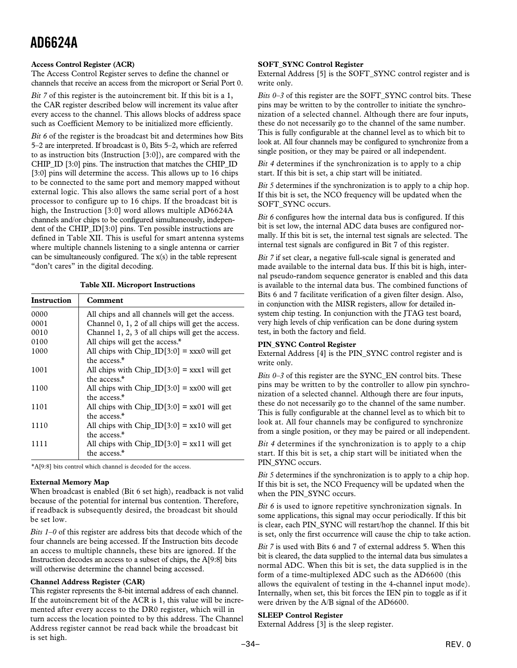### <span id="page-33-0"></span>**Access Control Register (ACR)**

The Access Control Register serves to define the channel or channels that receive an access from the microport or Serial Port 0.

*Bit 7* of this register is the autoincrement bit. If this bit is a 1, the CAR register described below will increment its value after every access to the channel. This allows blocks of address space such as Coefficient Memory to be initialized more efficiently.

*Bit 6* of the register is the broadcast bit and determines how Bits 5–2 are interpreted. If broadcast is 0, Bits 5–2, which are referred to as instruction bits (Instruction [3:0]), are compared with the CHIP\_ID [3:0] pins. The instruction that matches the CHIP\_ID [3:0] pins will determine the access. This allows up to 16 chips to be connected to the same port and memory mapped without external logic. This also allows the same serial port of a host processor to configure up to 16 chips. If the broadcast bit is high, the Instruction [3:0] word allows multiple AD6624A channels and/or chips to be configured simultaneously, independent of the CHIP\_ID[3:0] pins. Ten possible instructions are defined in Table XII. This is useful for smart antenna systems where multiple channels listening to a single antenna or carrier can be simultaneously configured. The x(s) in the table represent "don't cares" in the digital decoding.

### **Table XII. Microport Instructions**

| Instruction | Comment                                           |
|-------------|---------------------------------------------------|
| 0000        | All chips and all channels will get the access.   |
| 0001        | Channel 0, 1, 2 of all chips will get the access. |
| 0010        | Channel 1, 2, 3 of all chips will get the access. |
| 0100        | All chips will get the access.*                   |
| 1000        | All chips with $Chip\_ID[3:0] =$ xxx0 will get    |
|             | the access.*                                      |
| 1001        | All chips with $Chip\_ID[3:0] =$ xxx1 will get    |
|             | the access.*                                      |
| 1100        | All chips with $Chip\_ID[3:0] = xx00$ will get    |
|             | the access.*                                      |
| 1101        | All chips with $Chip\_ID[3:0] = xx01$ will get    |
|             | the access.*                                      |
| 1110        | All chips with $Chip\_ID[3:0] = xx10$ will get    |
|             | the access.*                                      |
| 1111        | All chips with $Chip\_ID[3:0] = xx11$ will get    |
|             | the access.*                                      |

\*A[9:8] bits control which channel is decoded for the access.

### **External Memory Map**

When broadcast is enabled (Bit 6 set high), readback is not valid because of the potential for internal bus contention. Therefore, if readback is subsequently desired, the broadcast bit should be set low.

*Bits 1–0* of this register are address bits that decode which of the four channels are being accessed. If the Instruction bits decode an access to multiple channels, these bits are ignored. If the Instruction decodes an access to a subset of chips, the A[9:8] bits will otherwise determine the channel being accessed.

### **Channel Address Register (CAR)**

This register represents the 8-bit internal address of each channel. If the autoincrement bit of the ACR is 1, this value will be incremented after every access to the DR0 register, which will in turn access the location pointed to by this address. The Channel Address register cannot be read back while the broadcast bit is set high.

### **SOFT\_SYNC Control Register**

External Address [5] is the SOFT\_SYNC control register and is write only.

*Bits 0–3* of this register are the SOFT\_SYNC control bits. These pins may be written to by the controller to initiate the synchronization of a selected channel. Although there are four inputs, these do not necessarily go to the channel of the same number. This is fully configurable at the channel level as to which bit to look at. All four channels may be configured to synchronize from a single position, or they may be paired or all independent.

*Bit 4* determines if the synchronization is to apply to a chip start. If this bit is set, a chip start will be initiated.

*Bit 5* determines if the synchronization is to apply to a chip hop. If this bit is set, the NCO frequency will be updated when the SOFT\_SYNC occurs.

*Bit 6* configures how the internal data bus is configured. If this bit is set low, the internal ADC data buses are configured normally. If this bit is set, the internal test signals are selected. The internal test signals are configured in Bit 7 of this register.

*Bit 7* if set clear, a negative full-scale signal is generated and made available to the internal data bus. If this bit is high, internal pseudo-random sequence generator is enabled and this data is available to the internal data bus. The combined functions of Bits 6 and 7 facilitate verification of a given filter design. Also, in conjunction with the MISR registers, allow for detailed insystem chip testing. In conjunction with the JTAG test board, very high levels of chip verification can be done during system test, in both the factory and field.

### **PIN\_SYNC Control Register**

External Address [4] is the PIN\_SYNC control register and is write only.

*Bits 0–3* of this register are the SYNC\_EN control bits. These pins may be written to by the controller to allow pin synchronization of a selected channel. Although there are four inputs, these do not necessarily go to the channel of the same number. This is fully configurable at the channel level as to which bit to look at. All four channels may be configured to synchronize from a single position, or they may be paired or all independent.

*Bit 4* determines if the synchronization is to apply to a chip start. If this bit is set, a chip start will be initiated when the PIN\_SYNC occurs.

*Bit 5* determines if the synchronization is to apply to a chip hop. If this bit is set, the NCO Frequency will be updated when the when the PIN\_SYNC occurs.

*Bit 6* is used to ignore repetitive synchronization signals. In some applications, this signal may occur periodically. If this bit is clear, each PIN\_SYNC will restart/hop the channel. If this bit is set, only the first occurrence will cause the chip to take action.

*Bit 7* is used with Bits 6 and 7 of external address 5. When this bit is cleared, the data supplied to the internal data bus simulates a normal ADC. When this bit is set, the data supplied is in the form of a time-multiplexed ADC such as the AD6600 (this allows the equivalent of testing in the 4-channel input mode). Internally, when set, this bit forces the IEN pin to toggle as if it were driven by the A/B signal of the AD6600.

### **SLEEP Control Register**

External Address [3] is the sleep register.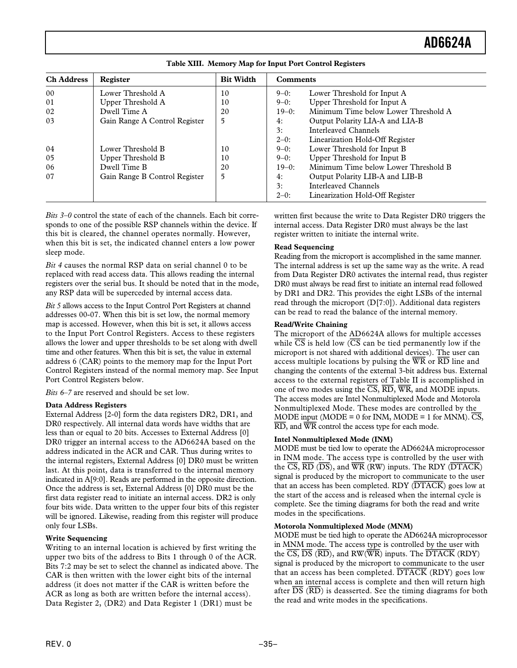<span id="page-34-0"></span>

| <b>Ch Address</b> | Register                      | <b>Bit Width</b> | <b>Comments</b> |                                      |
|-------------------|-------------------------------|------------------|-----------------|--------------------------------------|
| 0 <sub>0</sub>    | Lower Threshold A             | 10               | $9-0:$          | Lower Threshold for Input A          |
| 01                | Upper Threshold A             | 10               | $9 - 0$ :       | Upper Threshold for Input A          |
| 02                | Dwell Time A                  | 20               | $19-0$ :        | Minimum Time below Lower Threshold A |
| 03                | Gain Range A Control Register | 5                | 4:              | Output Polarity LIA-A and LIA-B      |
|                   |                               |                  | 3:              | Interleaved Channels                 |
|                   |                               |                  | $2-0$ :         | Linearization Hold-Off Register      |
| 04                | Lower Threshold B             | 10               | $9-0:$          | Lower Threshold for Input B          |
| 05                | Upper Threshold B             | 10               | $9-0$ :         | Upper Threshold for Input B          |
| 06                | Dwell Time B                  | 20               | $19-0$ :        | Minimum Time below Lower Threshold B |
| 07                | Gain Range B Control Register | 5                | 4:              | Output Polarity LIB-A and LIB-B      |
|                   |                               |                  | 3:              | Interleaved Channels                 |
|                   |                               |                  | $2 - 0$ :       | Linearization Hold-Off Register      |

**Table XIII. Memory Map for Input Port Control Registers**

*Bits 3–0* control the state of each of the channels. Each bit corresponds to one of the possible RSP channels within the device. If this bit is cleared, the channel operates normally. However, when this bit is set, the indicated channel enters a low power sleep mode.

*Bit 4* causes the normal RSP data on serial channel 0 to be replaced with read access data. This allows reading the internal registers over the serial bus. It should be noted that in the mode, any RSP data will be superceded by internal access data.

*Bit 5* allows access to the Input Control Port Registers at channel addresses 00-07. When this bit is set low, the normal memory map is accessed. However, when this bit is set, it allows access to the Input Port Control Registers. Access to these registers allows the lower and upper thresholds to be set along with dwell time and other features. When this bit is set, the value in external address 6 (CAR) points to the memory map for the Input Port Control Registers instead of the normal memory map. See Input Port Control Registers below.

*Bits 6–7* are reserved and should be set low.

# **Data Address Registers**

External Address [2-0] form the data registers DR2, DR1, and DR0 respectively. All internal data words have widths that are less than or equal to 20 bits. Accesses to External Address [0] DR0 trigger an internal access to the AD6624A based on the address indicated in the ACR and CAR. Thus during writes to the internal registers, External Address [0] DR0 must be written last. At this point, data is transferred to the internal memory indicated in A[9:0]. Reads are performed in the opposite direction. Once the address is set, External Address [0] DR0 must be the first data register read to initiate an internal access. DR2 is only four bits wide. Data written to the upper four bits of this register will be ignored. Likewise, reading from this register will produce only four LSBs.

# **Write Sequencing**

Writing to an internal location is achieved by first writing the upper two bits of the address to Bits 1 through 0 of the ACR. Bits 7:2 may be set to select the channel as indicated above. The CAR is then written with the lower eight bits of the internal address (it does not matter if the CAR is written before the ACR as long as both are written before the internal access). Data Register 2, (DR2) and Data Register 1 (DR1) must be

written first because the write to Data Register DR0 triggers the internal access. Data Register DR0 must always be the last register written to initiate the internal write.

# **Read Sequencing**

Reading from the microport is accomplished in the same manner. The internal address is set up the same way as the write. A read from Data Register DR0 activates the internal read, thus register DR0 must always be read first to initiate an internal read followed by DR1 and DR2. This provides the eight LSBs of the internal read through the microport  $(D[7:0])$ . Additional data registers can be read to read the balance of the internal memory.

# **Read/Write Chaining**

The microport of the AD6624A allows for multiple accesses while  $\overline{CS}$  is held low  $(\overline{CS}$  can be tied permanently low if the microport is not shared with additional devices). The user can access multiple locations by pulsing the *WR* or *RD* line and changing the contents of the external 3-bit address bus. External access to the external registers of Table II is accomplished in one of two modes using the *CS*, *RD*, *WR*, and MODE inputs. The access modes are Intel Nonmultiplexed Mode and Motorola Nonmultiplexed Mode. These modes are controlled by the MODE input (MODE = 0 for INM, MODE = 1 for MNM).  $\overline{CS}$ , *RD*, and *WR* control the access type for each mode.

# **Intel Nonmultiplexed Mode (INM)**

MODE must be tied low to operate the AD6624A microprocessor in INM mode. The access type is controlled by the user with the *CS*, *RD* (*DS*), and *WR* (RW) inputs. The RDY (*DTACK*) signal is produced by the microport to communicate to the user that an access has been completed. RDY (*DTACK*) goes low at the start of the access and is released when the internal cycle is complete. See the timing diagrams for both the read and write modes in the specifications.

# **Motorola Nonmultiplexed Mode (MNM)**

MODE must be tied high to operate the AD6624A microprocessor in MNM mode. The access type is controlled by the user with the *CS, DS* (*RD*), and RW(*WR*) inputs. The *DTACK* (RDY) signal is produced by the microport to communicate to the user that an access has been completed. *DTACK* (RDY) goes low when an internal access is complete and then will return high after  $\overline{DS}$  ( $\overline{RD}$ ) is deasserted. See the timing diagrams for both the read and write modes in the specifications.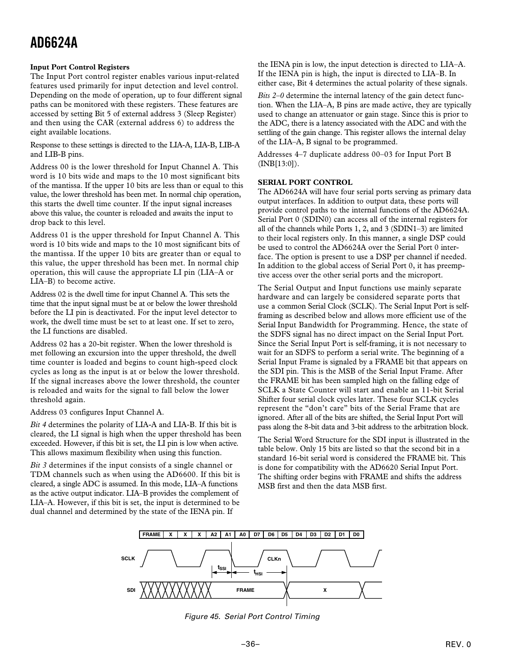# <span id="page-35-0"></span>**Input Port Control Registers**

The Input Port control register enables various input-related features used primarily for input detection and level control. Depending on the mode of operation, up to four different signal paths can be monitored with these registers. These features are accessed by setting Bit 5 of external address 3 (Sleep Register) and then using the CAR (external address 6) to address the eight available locations.

Response to these settings is directed to the LIA-A, LIA-B, LIB-A and LIB-B pins.

Address 00 is the lower threshold for Input Channel A. This word is 10 bits wide and maps to the 10 most significant bits of the mantissa. If the upper 10 bits are less than or equal to this value, the lower threshold has been met. In normal chip operation, this starts the dwell time counter. If the input signal increases above this value, the counter is reloaded and awaits the input to drop back to this level.

Address 01 is the upper threshold for Input Channel A. This word is 10 bits wide and maps to the 10 most significant bits of the mantissa. If the upper 10 bits are greater than or equal to this value, the upper threshold has been met. In normal chip operation, this will cause the appropriate LI pin (LIA–A or LIA–B) to become active.

Address 02 is the dwell time for input Channel A. This sets the time that the input signal must be at or below the lower threshold before the LI pin is deactivated. For the input level detector to work, the dwell time must be set to at least one. If set to zero, the LI functions are disabled.

Address 02 has a 20-bit register. When the lower threshold is met following an excursion into the upper threshold, the dwell time counter is loaded and begins to count high-speed clock cycles as long as the input is at or below the lower threshold. If the signal increases above the lower threshold, the counter is reloaded and waits for the signal to fall below the lower threshold again.

Address 03 configures Input Channel A.

*Bit 4* determines the polarity of LIA-A and LIA-B. If this bit is cleared, the LI signal is high when the upper threshold has been exceeded. However, if this bit is set, the LI pin is low when active. This allows maximum flexibility when using this function.

*Bit 3* determines if the input consists of a single channel or TDM channels such as when using the AD6600. If this bit is cleared, a single ADC is assumed. In this mode, LIA–A functions as the active output indicator. LIA–B provides the complement of LIA–A. However, if this bit is set, the input is determined to be dual channel and determined by the state of the IENA pin. If

the IENA pin is low, the input detection is directed to LIA–A. If the IENA pin is high, the input is directed to LIA–B. In either case, Bit 4 determines the actual polarity of these signals.

*Bits 2–0* determine the internal latency of the gain detect function. When the LIA–A, B pins are made active, they are typically used to change an attenuator or gain stage. Since this is prior to the ADC, there is a latency associated with the ADC and with the settling of the gain change. This register allows the internal delay of the LIA–A, B signal to be programmed.

Addresses 4–7 duplicate address 00–03 for Input Port B (INB[13:0]).

# **SERIAL PORT CONTROL**

The AD6624A will have four serial ports serving as primary data output interfaces. In addition to output data, these ports will provide control paths to the internal functions of the AD6624A. Serial Port 0 (SDIN0) can access all of the internal registers for all of the channels while Ports 1, 2, and 3 (SDIN1–3) are limited to their local registers only. In this manner, a single DSP could be used to control the AD6624A over the Serial Port 0 interface. The option is present to use a DSP per channel if needed. In addition to the global access of Serial Port 0, it has preemptive access over the other serial ports and the microport.

The Serial Output and Input functions use mainly separate hardware and can largely be considered separate ports that use a common Serial Clock (SCLK). The Serial Input Port is selfframing as described below and allows more efficient use of the Serial Input Bandwidth for Programming. Hence, the state of the SDFS signal has no direct impact on the Serial Input Port. Since the Serial Input Port is self-framing, it is not necessary to wait for an SDFS to perform a serial write. The beginning of a Serial Input Frame is signaled by a FRAME bit that appears on the SDI pin. This is the MSB of the Serial Input Frame. After the FRAME bit has been sampled high on the falling edge of SCLK a State Counter will start and enable an 11-bit Serial Shifter four serial clock cycles later. These four SCLK cycles represent the "don't care" bits of the Serial Frame that are ignored. After all of the bits are shifted, the Serial Input Port will pass along the 8-bit data and 3-bit address to the arbitration block.

The Serial Word Structure for the SDI input is illustrated in the table below. Only 15 bits are listed so that the second bit in a standard 16-bit serial word is considered the FRAME bit. This is done for compatibility with the AD6620 Serial Input Port. The shifting order begins with FRAME and shifts the address MSB first and then the data MSB first.



Figure 45. Serial Port Control Timing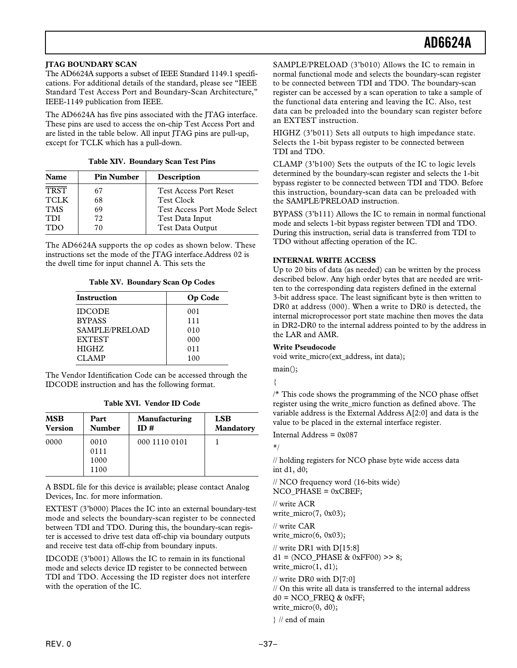# <span id="page-36-0"></span>**JTAG BOUNDARY SCAN**

The AD6624A supports a subset of IEEE Standard 1149.1 specifications. For additional details of the standard, please see "IEEE Standard Test Access Port and Boundary-Scan Architecture," IEEE-1149 publication from IEEE.

The AD6624A has five pins associated with the JTAG interface. These pins are used to access the on-chip Test Access Port and are listed in the table below. All input JTAG pins are pull-up, except for TCLK which has a pull-down.

|  | <b>Table XIV. Boundary Scan Test Pins</b> |  |  |  |
|--|-------------------------------------------|--|--|--|
|--|-------------------------------------------|--|--|--|

| <b>Name</b> | <b>Pin Number</b> | Description                         |
|-------------|-------------------|-------------------------------------|
| <b>TRST</b> | 67                | <b>Test Access Port Reset</b>       |
| <b>TCLK</b> | 68                | <b>Test Clock</b>                   |
| <b>TMS</b>  | 69                | <b>Test Access Port Mode Select</b> |
| <b>TDI</b>  | 72                | Test Data Input                     |
| <b>TDO</b>  | 70                | <b>Test Data Output</b>             |

The AD6624A supports the op codes as shown below. These instructions set the mode of the JTAG interface.Address 02 is the dwell time for input channel A. This sets the

**Table XV. Boundary Scan Op Codes**

| Instruction    | Op Code |
|----------------|---------|
| <b>IDCODE</b>  | 001     |
| <b>BYPASS</b>  | 111     |
| SAMPLE/PRELOAD | 010     |
| <b>EXTEST</b>  | 000     |
| <b>HIGHZ</b>   | 011     |
| CLAMP          | 100     |

The Vendor Identification Code can be accessed through the IDCODE instruction and has the following format.

**Table XVI. Vendor ID Code**

| <b>MSB</b><br><b>Version</b> | Part<br><b>Number</b> | Manufacturing<br>ID# | <b>LSB</b><br><b>Mandatory</b> |
|------------------------------|-----------------------|----------------------|--------------------------------|
| 0000                         | 0010                  | 000 1110 0101        |                                |
|                              | 0111                  |                      |                                |
|                              | 1000                  |                      |                                |
|                              | 1100                  |                      |                                |

A BSDL file for this device is available; please contact Analog Devices, Inc. for more information.

EXTEST (3'b000) Places the IC into an external boundary-test mode and selects the boundary-scan register to be connected between TDI and TDO. During this, the boundary-scan register is accessed to drive test data off-chip via boundary outputs and receive test data off-chip from boundary inputs.

IDCODE (3'b001) Allows the IC to remain in its functional mode and selects device ID register to be connected between TDI and TDO. Accessing the ID register does not interfere with the operation of the IC.

SAMPLE/PRELOAD (3'b010) Allows the IC to remain in normal functional mode and selects the boundary-scan register to be connected between TDI and TDO. The boundary-scan register can be accessed by a scan operation to take a sample of the functional data entering and leaving the IC. Also, test data can be preloaded into the boundary scan register before an EXTEST instruction.

HIGHZ (3'b011) Sets all outputs to high impedance state. Selects the 1-bit bypass register to be connected between TDI and TDO.

CLAMP (3'b100) Sets the outputs of the IC to logic levels determined by the boundary-scan register and selects the 1-bit bypass register to be connected between TDI and TDO. Before this instruction, boundary-scan data can be preloaded with the SAMPLE/PRELOAD instruction.

BYPASS (3'b111) Allows the IC to remain in normal functional mode and selects 1-bit bypass register between TDI and TDO. During this instruction, serial data is transferred from TDI to TDO without affecting operation of the IC.

# **INTERNAL WRITE ACCESS**

Up to 20 bits of data (as needed) can be written by the process described below. Any high order bytes that are needed are written to the corresponding data registers defined in the external 3-bit address space. The least significant byte is then written to DR0 at address (000). When a write to DR0 is detected, the internal microprocessor port state machine then moves the data in DR2-DR0 to the internal address pointed to by the address in the LAR and AMR.

### **Write Pseudocode**

void write\_micro(ext\_address, int data);

main();

{

/\* This code shows the programming of the NCO phase offset register using the write\_micro function as defined above. The variable address is the External Address A[2:0] and data is the value to be placed in the external interface register.

Internal Address = 0x087

\*/

// holding registers for NCO phase byte wide access data int d1, d0;

// NCO frequency word (16-bits wide)  $NCO$  PHASE = 0xCBEF;

// write ACR

write\_micro(7, 0x03);

// write CAR write\_micro(6, 0x03);

// write DR1 with D[15:8]  $d1 = (NCO_PHASE & 0xFF00) >> 8;$ write\_micro(1, d1);

// write DR0 with D[7:0]

// On this write all data is transferred to the internal address  $d0 = NCO$  FREQ & 0xFF; write\_micro(0, d0);

} // end of main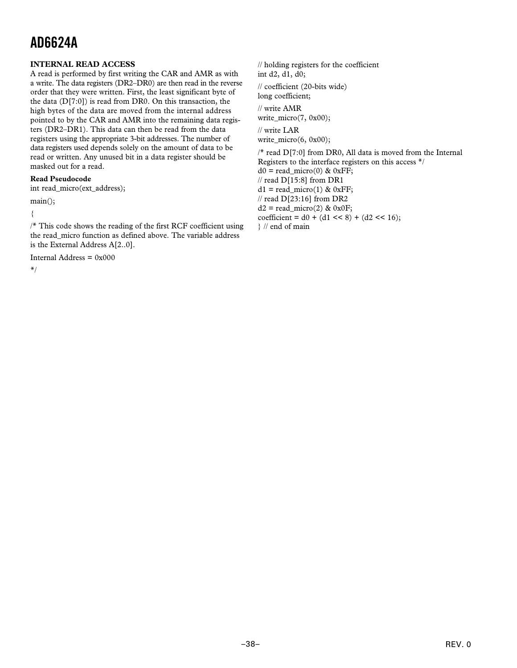# <span id="page-37-0"></span>**INTERNAL READ ACCESS**

A read is performed by first writing the CAR and AMR as with a write. The data registers (DR2–DR0) are then read in the reverse order that they were written. First, the least significant byte of the data  $(D[7:0])$  is read from DR0. On this transaction, the high bytes of the data are moved from the internal address pointed to by the CAR and AMR into the remaining data registers (DR2–DR1). This data can then be read from the data registers using the appropriate 3-bit addresses. The number of data registers used depends solely on the amount of data to be read or written. Any unused bit in a data register should be masked out for a read.

# **Read Pseudocode**

int read\_micro(ext\_address);

main();

{

/\* This code shows the reading of the first RCF coefficient using the read\_micro function as defined above. The variable address is the External Address A[2..0].

Internal Address = 0x000

\*/

// holding registers for the coefficient int d2, d1, d0;

// coefficient (20-bits wide) long coefficient;

// write AMR write  $micro(7, 0x00);$ 

// write LAR write\_micro(6, 0x00);

/\* read D[7:0] from DR0, All data is moved from the Internal Registers to the interface registers on this access \*/  $d0 = read\_micro(0)$  & 0xFF;  $\frac{1}{2}$  read D[15:8] from DR1  $d1 = read micro(1) & 0xFF;$ // read D[23:16] from DR2  $d2 = read\_micro(2)$  & 0x0F; coefficient =  $d0 + (d1 \leq 8) + (d2 \leq 16)$ ; } // end of main